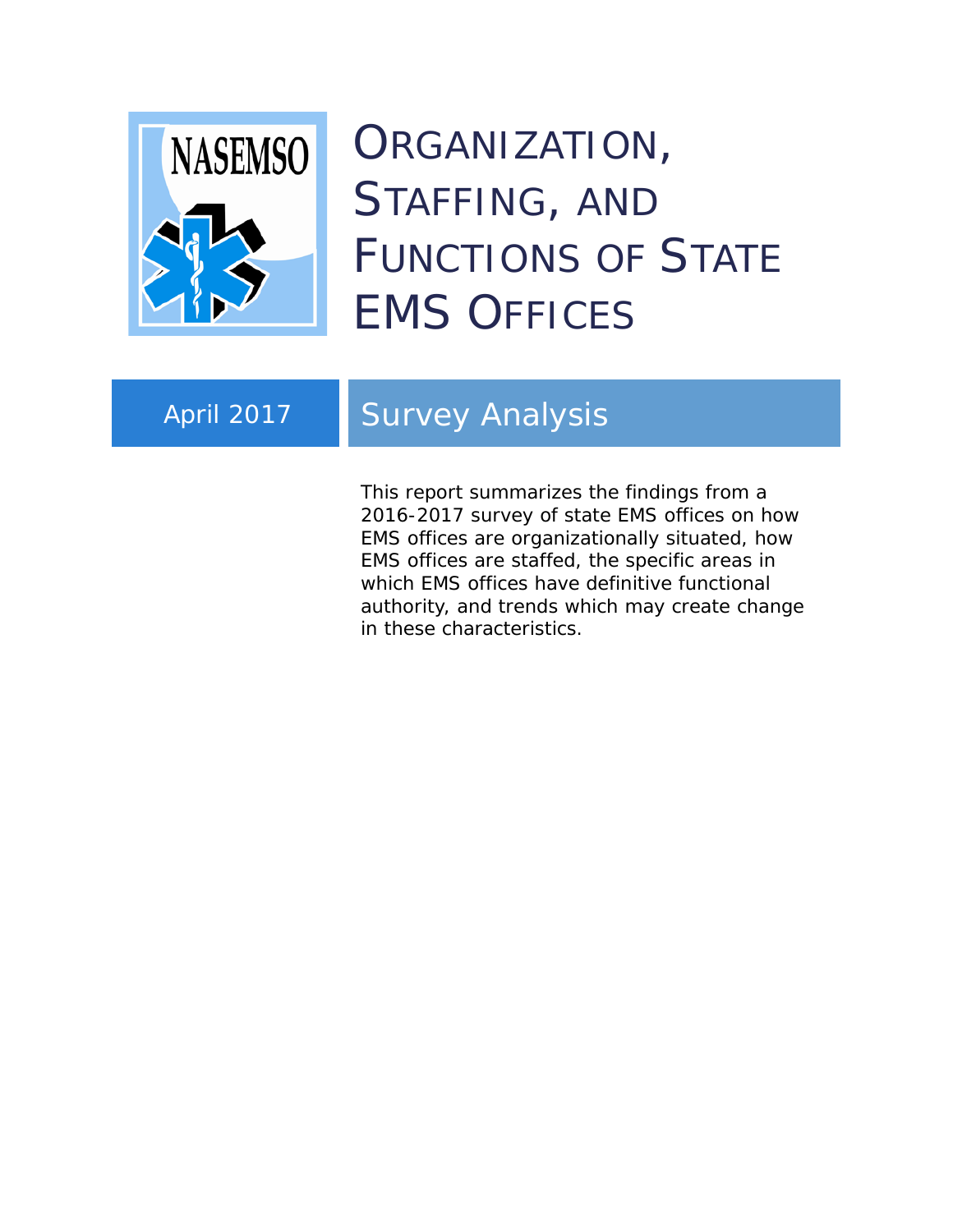

# ORGANIZATION, STAFFING, AND FUNCTIONS OF STATE EMS OFFICES

# April 2017 | Survey Analysis

This report summarizes the findings from a 2016-2017 survey of state EMS offices on how EMS offices are organizationally situated, how EMS offices are staffed, the specific areas in which EMS offices have definitive functional authority, and trends which may create change in these characteristics.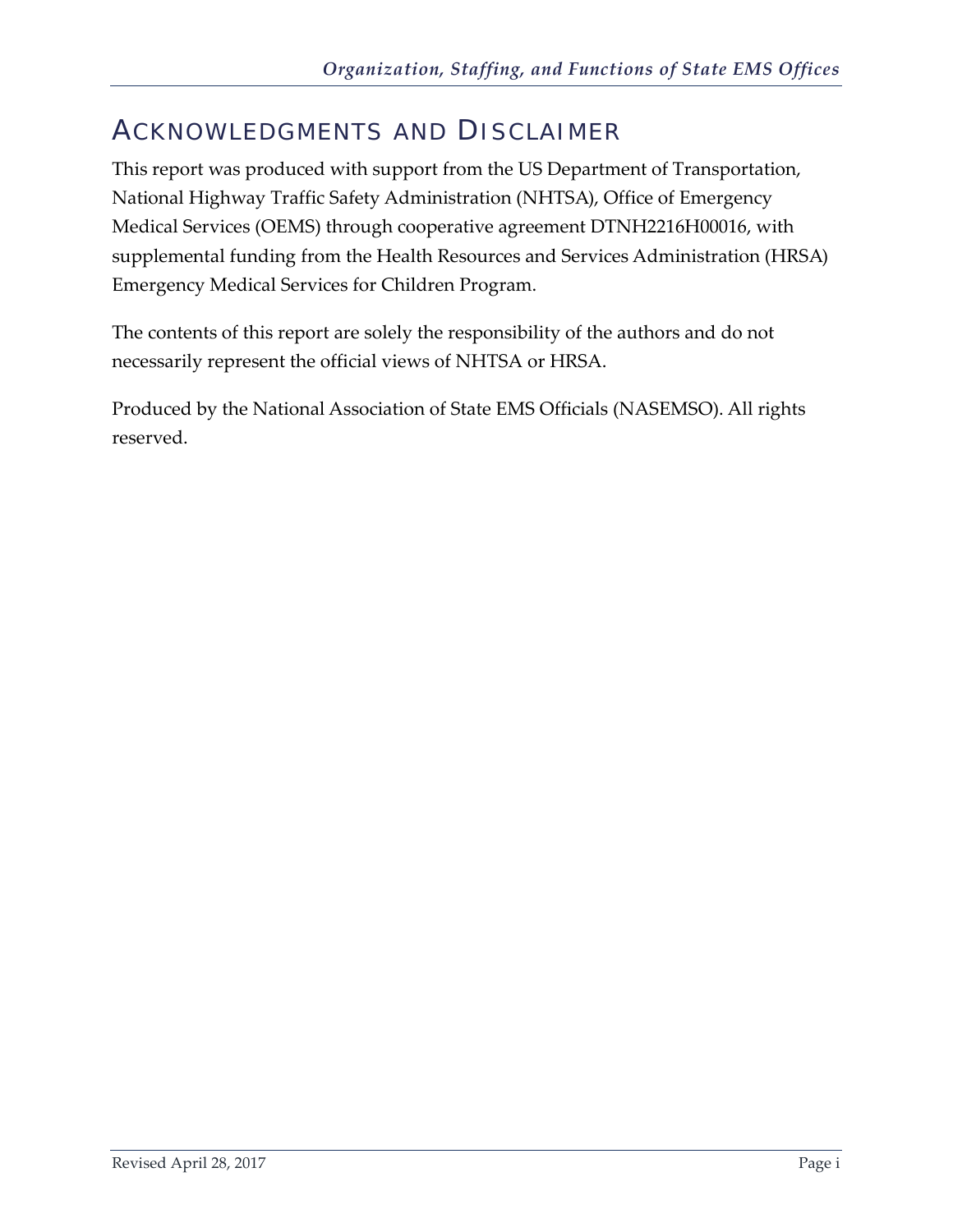# <span id="page-1-0"></span>ACKNOWLEDGMENTS AND DISCLAIMER

This report was produced with support from the US Department of Transportation, National Highway Traffic Safety Administration (NHTSA), Office of Emergency Medical Services (OEMS) through cooperative agreement DTNH2216H00016, with supplemental funding from the Health Resources and Services Administration (HRSA) Emergency Medical Services for Children Program.

The contents of this report are solely the responsibility of the authors and do not necessarily represent the official views of NHTSA or HRSA.

Produced by the National Association of State EMS Officials (NASEMSO). All rights reserved.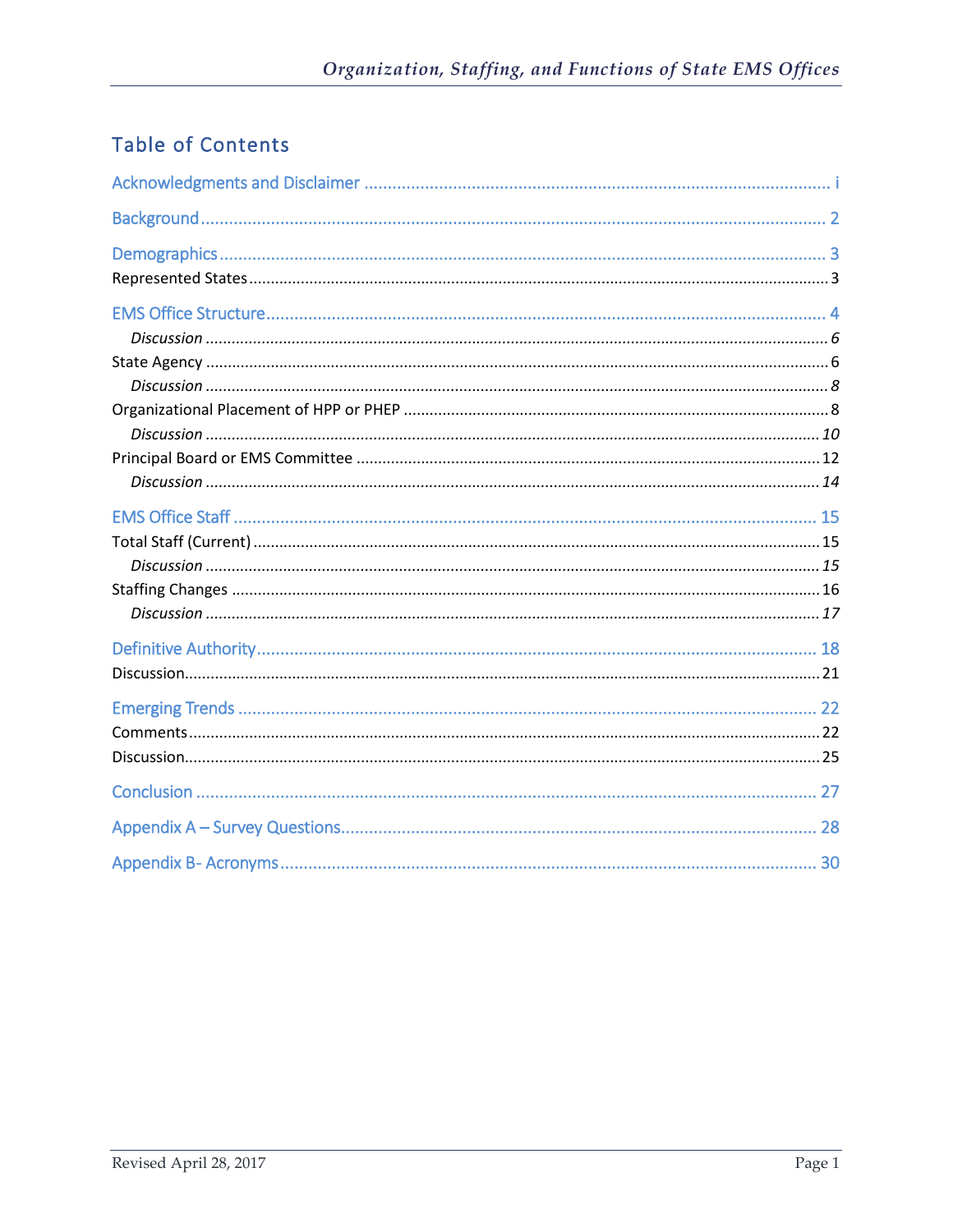## Table of Contents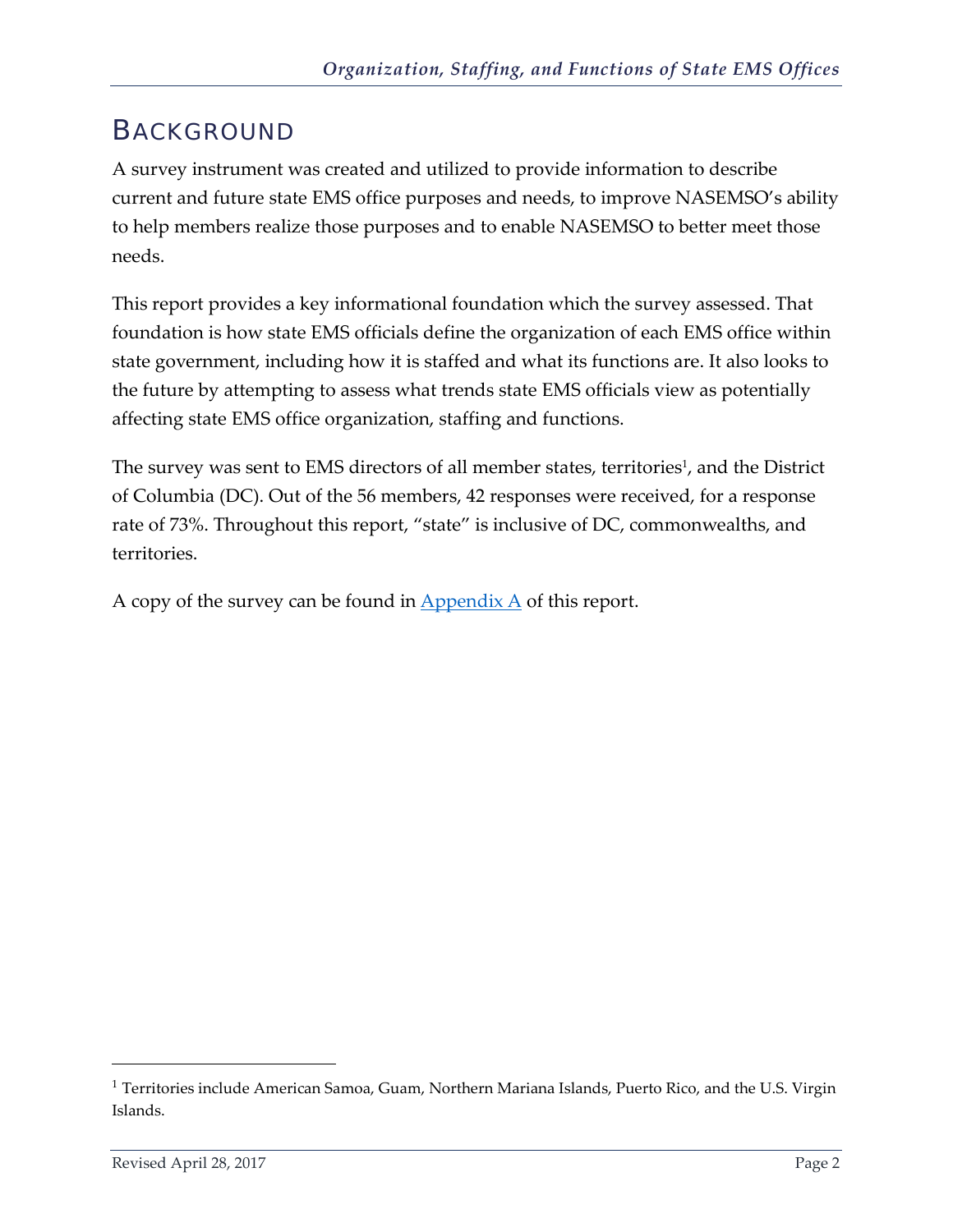## <span id="page-3-0"></span>BACKGROUND

A survey instrument was created and utilized to provide information to describe current and future state EMS office purposes and needs, to improve NASEMSO's ability to help members realize those purposes and to enable NASEMSO to better meet those needs.

This report provides a key informational foundation which the survey assessed. That foundation is how state EMS officials define the organization of each EMS office within state government, including how it is staffed and what its functions are. It also looks to the future by attempting to assess what trends state EMS officials view as potentially affecting state EMS office organization, staffing and functions.

The survey was sent to EMS directors of all member states, territories<sup>1</sup>, and the District of Columbia (DC). Out of the 56 members, 42 responses were received, for a response rate of 73%. Throughout this report, "state" is inclusive of DC, commonwealths, and territories.

A copy of the survey can be found in  $\Delta$  ppendix  $\Delta$  of this report.

 $\overline{a}$ 

<sup>&</sup>lt;sup>1</sup> Territories include American Samoa, Guam, Northern Mariana Islands, Puerto Rico, and the U.S. Virgin Islands.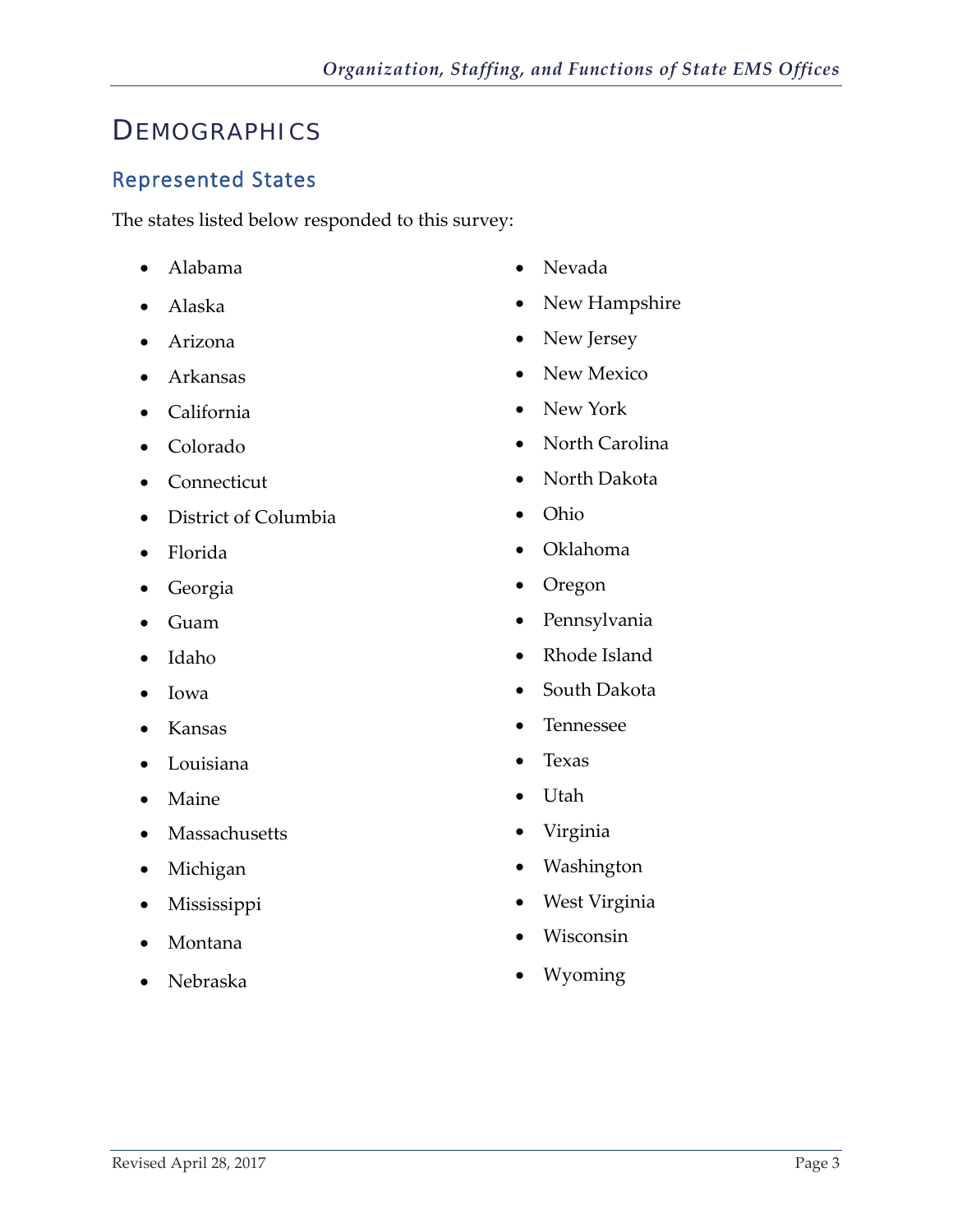## <span id="page-4-0"></span>**DEMOGRAPHICS**

#### <span id="page-4-1"></span>Represented States

The states listed below responded to this survey:

- Alabama
- Alaska
- Arizona
- Arkansas
- California
- Colorado
- Connecticut
- District of Columbia
- Florida
- Georgia
- Guam
- Idaho
- Iowa
- Kansas
- Louisiana
- Maine
- Massachusetts
- Michigan
- Mississippi
- Montana
- Nebraska
- Nevada
- New Hampshire
- New Jersey
- New Mexico
- New York
- North Carolina
- North Dakota
- Ohio
- Oklahoma
- Oregon
- Pennsylvania
- Rhode Island
- South Dakota
- Tennessee
- Texas
- Utah
- Virginia
- Washington
- West Virginia
- Wisconsin
- Wyoming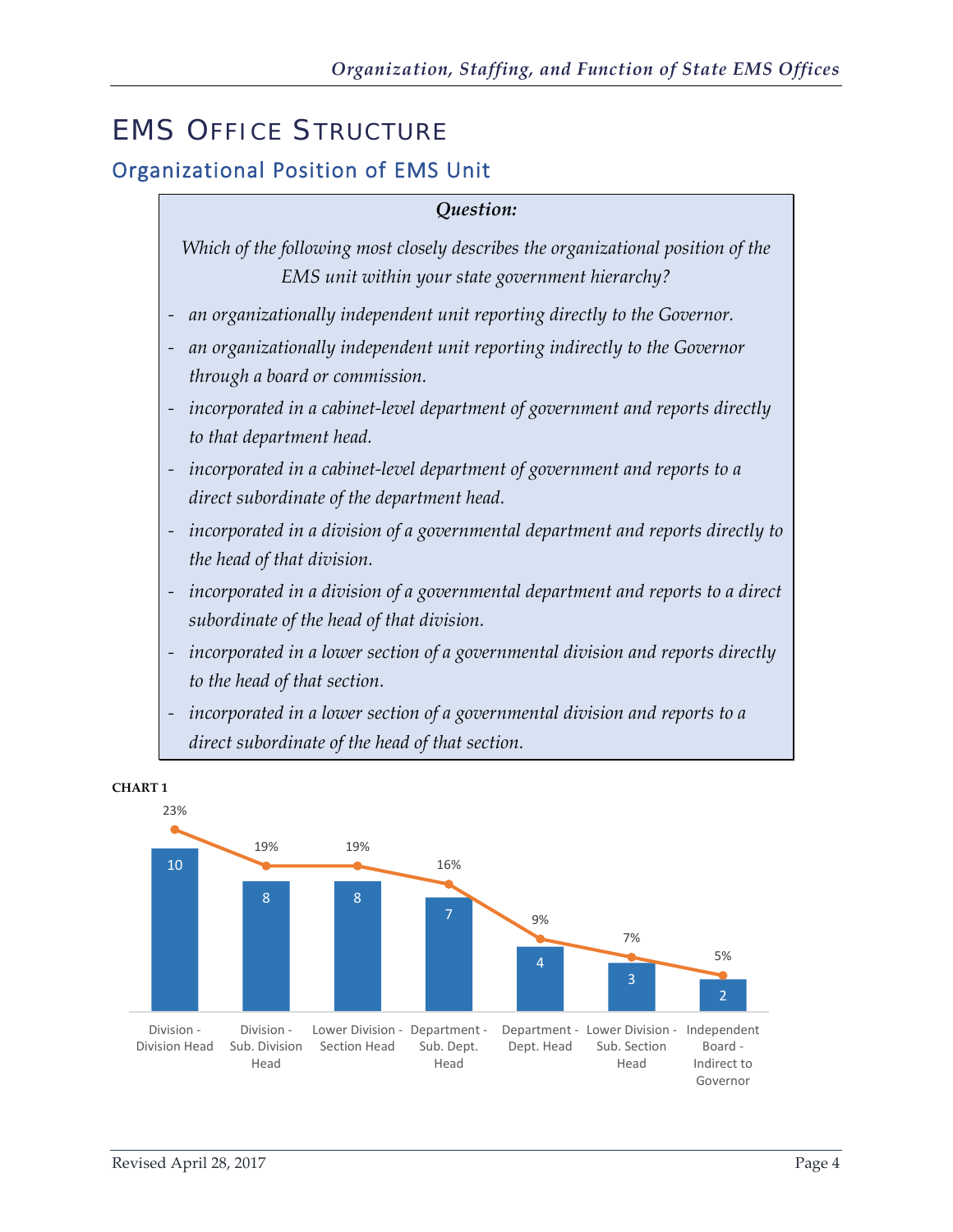# <span id="page-5-0"></span>EMS OFFICE STRUCTURE

## Organizational Position of EMS Unit

#### *Question:*

*Which of the following most closely describes the organizational position of the EMS unit within your state government hierarchy?*

- *- an organizationally independent unit reporting directly to the Governor.*
- *- an organizationally independent unit reporting indirectly to the Governor through a board or commission.*
- *- incorporated in a cabinet-level department of government and reports directly to that department head.*
- *- incorporated in a cabinet-level department of government and reports to a direct subordinate of the department head.*
- *- incorporated in a division of a governmental department and reports directly to the head of that division.*
- *- incorporated in a division of a governmental department and reports to a direct subordinate of the head of that division.*
- *- incorporated in a lower section of a governmental division and reports directly to the head of that section.*
- *- incorporated in a lower section of a governmental division and reports to a direct subordinate of the head of that section.*



## **CHART 1**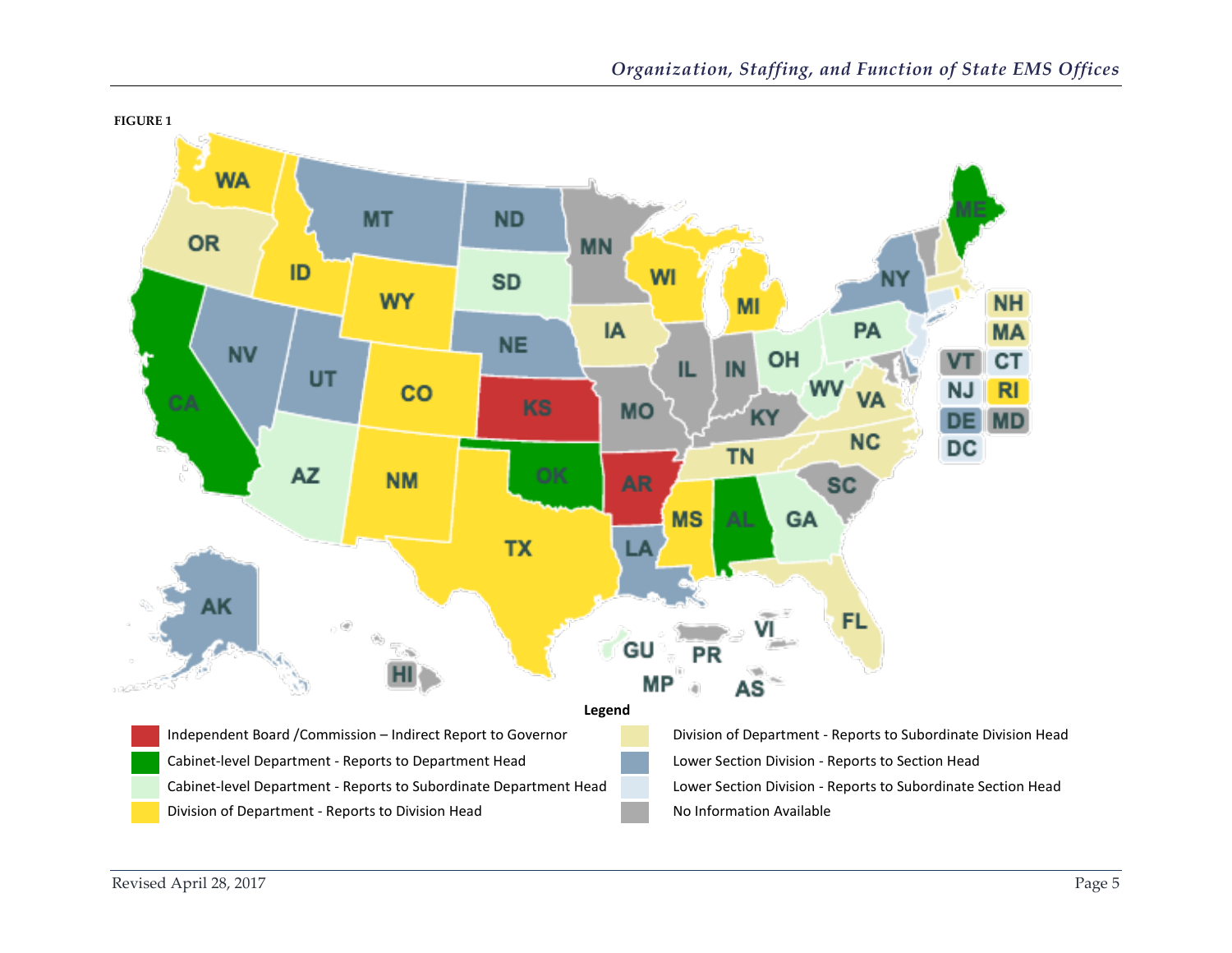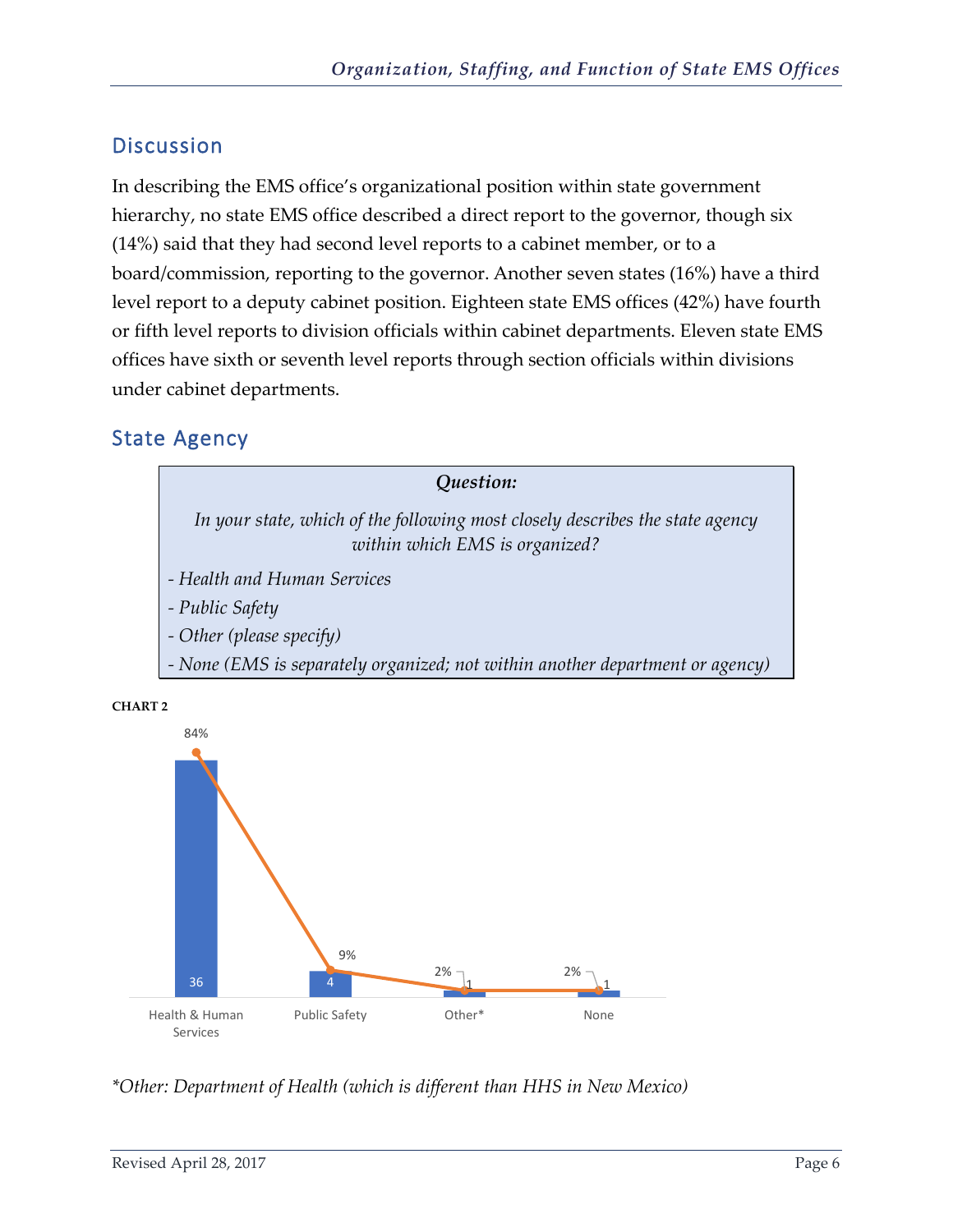<span id="page-7-0"></span>In describing the EMS office's organizational position within state government hierarchy, no state EMS office described a direct report to the governor, though six (14%) said that they had second level reports to a cabinet member, or to a board/commission, reporting to the governor. Another seven states (16%) have a third level report to a deputy cabinet position. Eighteen state EMS offices (42%) have fourth or fifth level reports to division officials within cabinet departments. Eleven state EMS offices have sixth or seventh level reports through section officials within divisions under cabinet departments.

#### <span id="page-7-1"></span>State Agency





*\*Other: Department of Health (which is different than HHS in New Mexico)*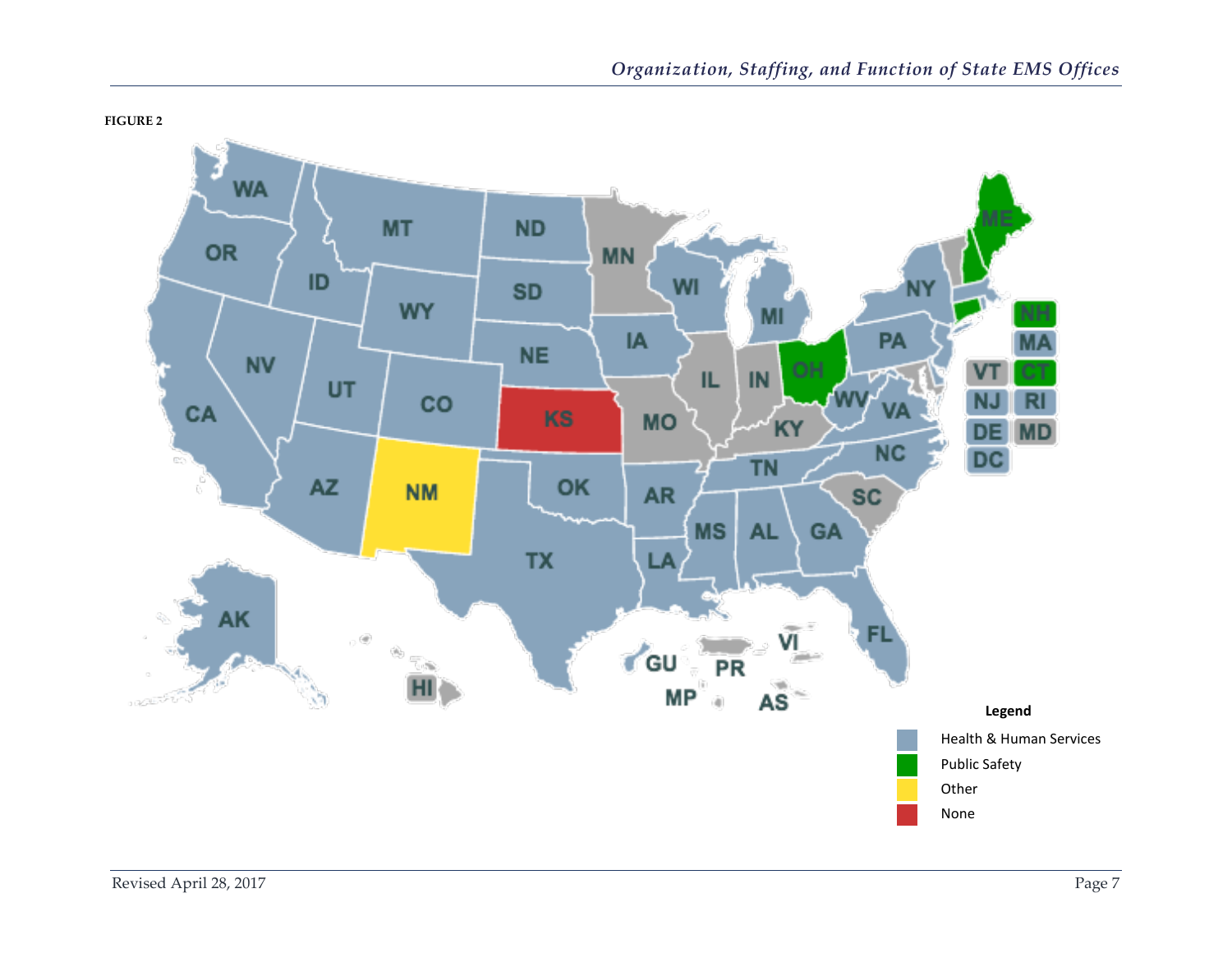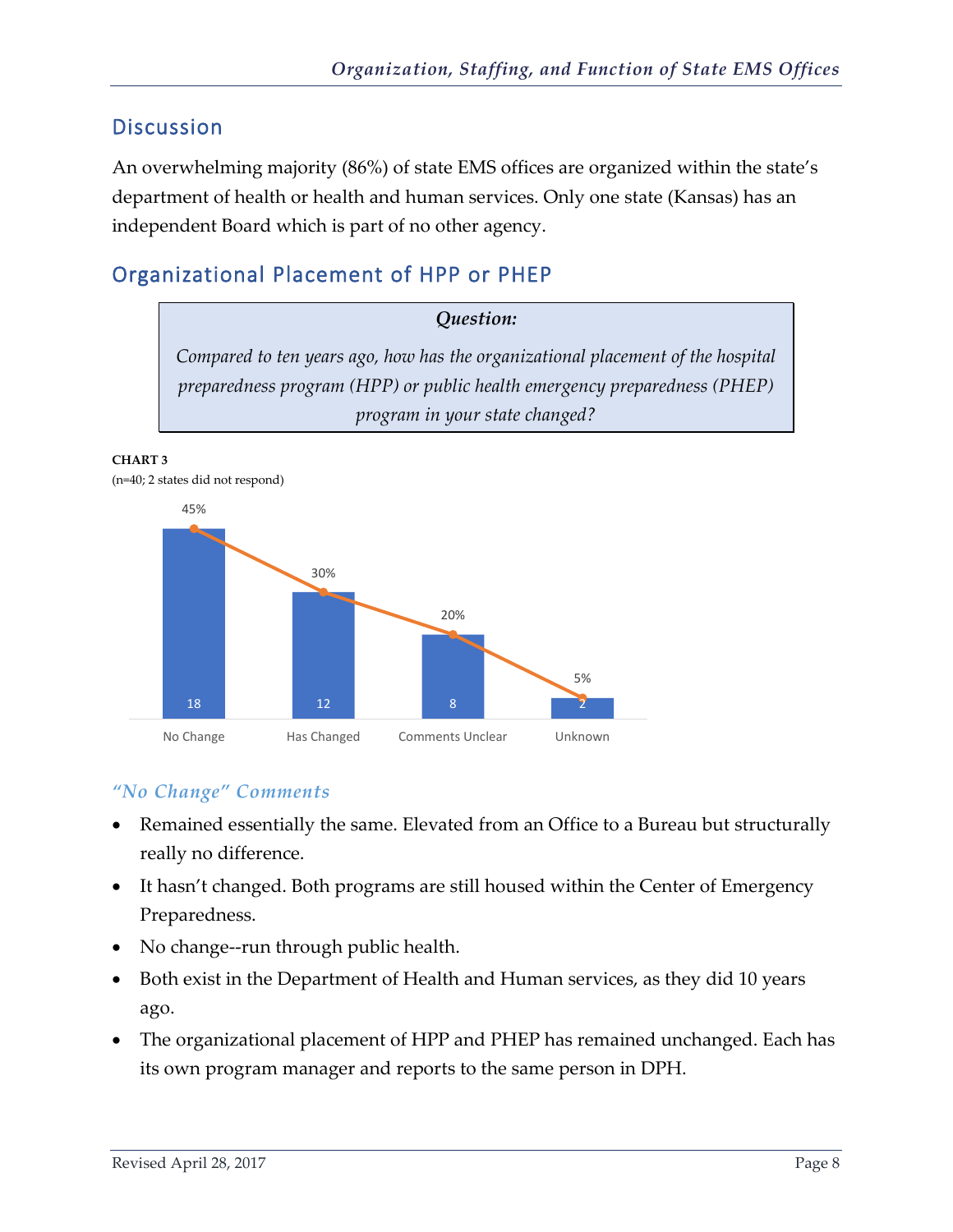<span id="page-9-0"></span>An overwhelming majority (86%) of state EMS offices are organized within the state's department of health or health and human services. Only one state (Kansas) has an independent Board which is part of no other agency.

## <span id="page-9-1"></span>Organizational Placement of HPP or PHEP



**CHART 3** (n=40; 2 states did not respond)



#### *"No Change" Comments*

- Remained essentially the same. Elevated from an Office to a Bureau but structurally really no difference.
- It hasn't changed. Both programs are still housed within the Center of Emergency Preparedness.
- No change--run through public health.
- Both exist in the Department of Health and Human services, as they did 10 years ago.
- The organizational placement of HPP and PHEP has remained unchanged. Each has its own program manager and reports to the same person in DPH.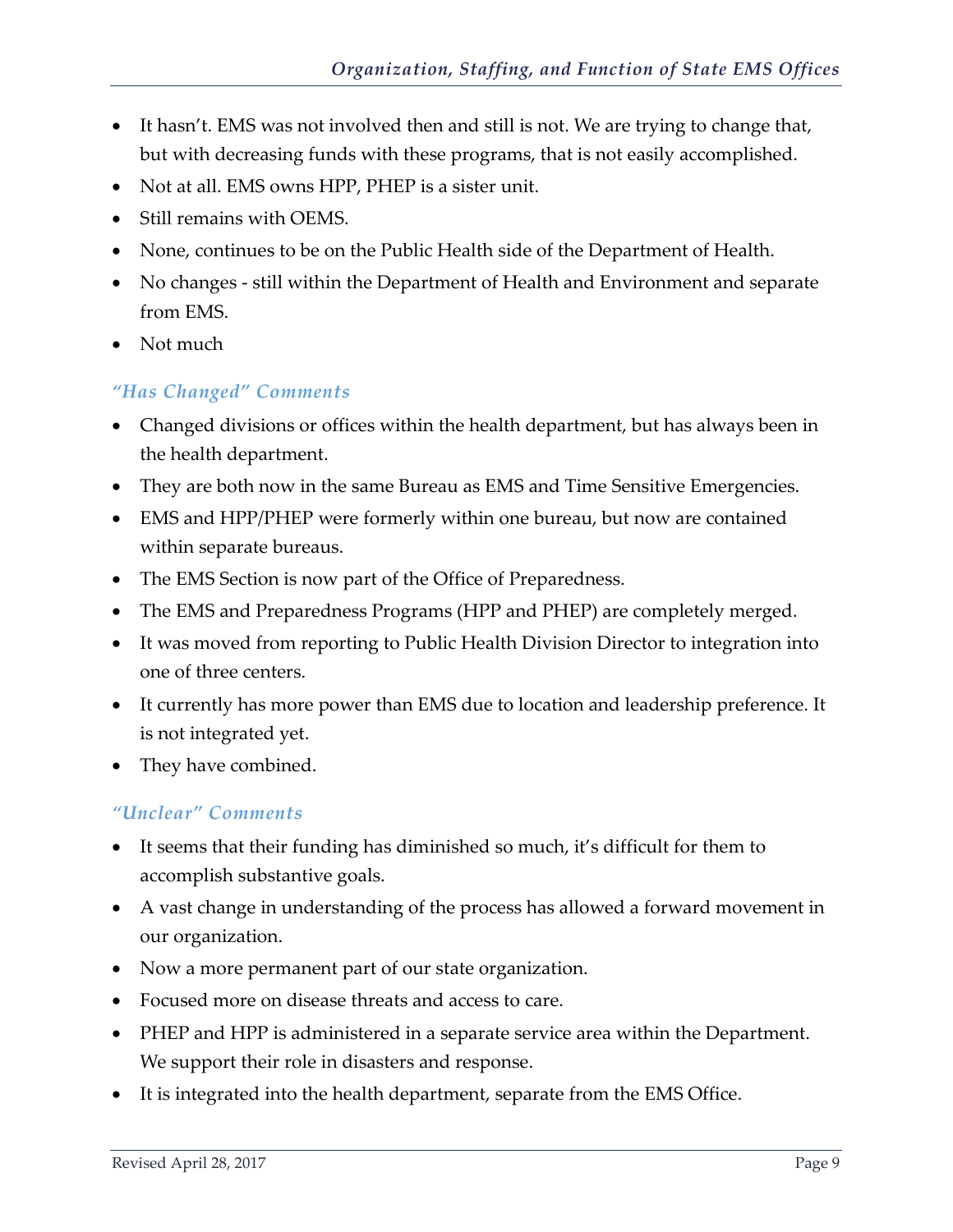- It hasn't. EMS was not involved then and still is not. We are trying to change that, but with decreasing funds with these programs, that is not easily accomplished.
- Not at all. EMS owns HPP, PHEP is a sister unit.
- Still remains with OEMS.
- None, continues to be on the Public Health side of the Department of Health.
- No changes still within the Department of Health and Environment and separate from EMS.
- Not much

#### *"Has Changed" Comments*

- Changed divisions or offices within the health department, but has always been in the health department.
- They are both now in the same Bureau as EMS and Time Sensitive Emergencies.
- EMS and HPP/PHEP were formerly within one bureau, but now are contained within separate bureaus.
- The EMS Section is now part of the Office of Preparedness.
- The EMS and Preparedness Programs (HPP and PHEP) are completely merged.
- It was moved from reporting to Public Health Division Director to integration into one of three centers.
- It currently has more power than EMS due to location and leadership preference. It is not integrated yet.
- They have combined.

#### *"Unclear" Comments*

- It seems that their funding has diminished so much, it's difficult for them to accomplish substantive goals.
- A vast change in understanding of the process has allowed a forward movement in our organization.
- Now a more permanent part of our state organization.
- Focused more on disease threats and access to care.
- PHEP and HPP is administered in a separate service area within the Department. We support their role in disasters and response.
- It is integrated into the health department, separate from the EMS Office.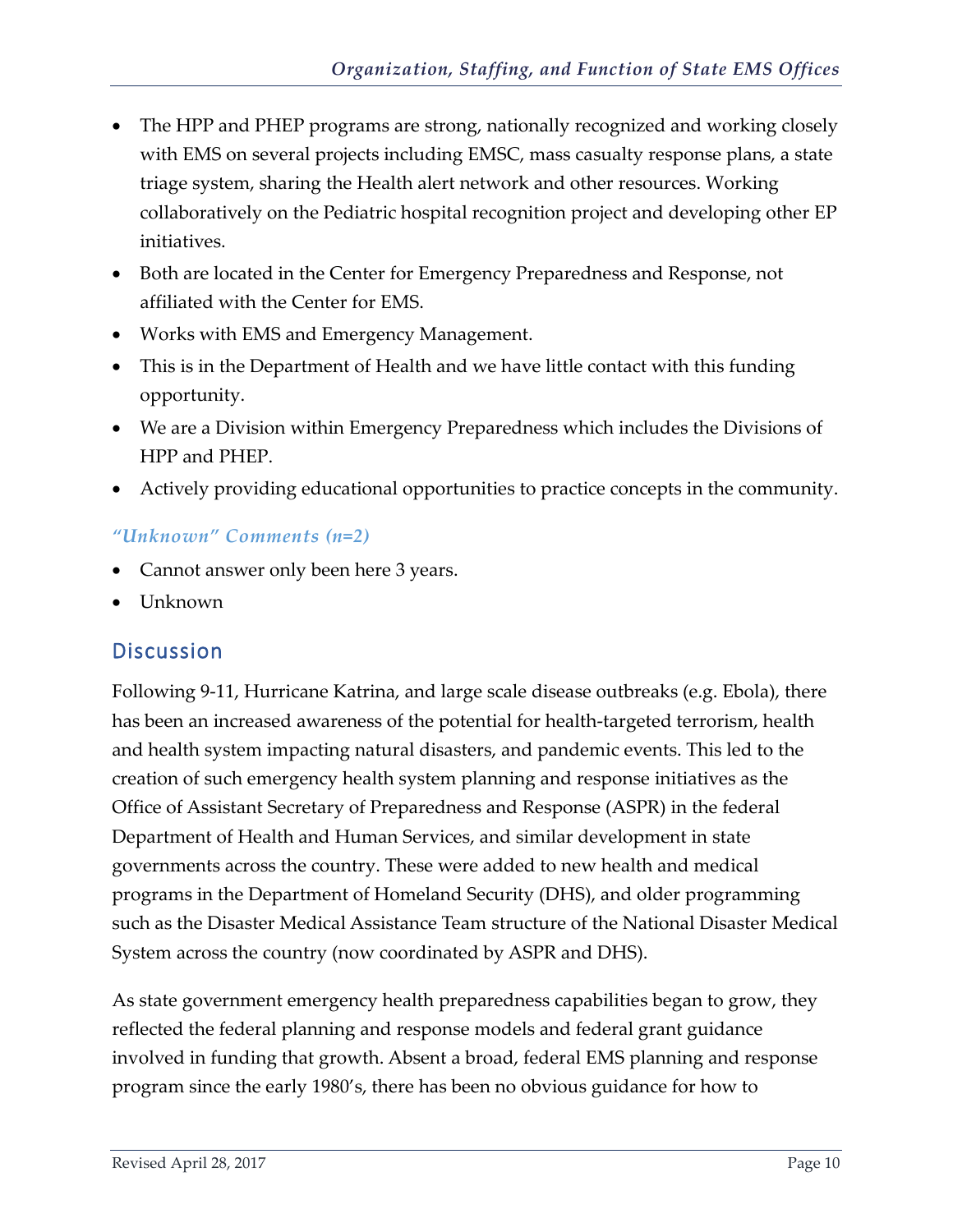- The HPP and PHEP programs are strong, nationally recognized and working closely with EMS on several projects including EMSC, mass casualty response plans, a state triage system, sharing the Health alert network and other resources. Working collaboratively on the Pediatric hospital recognition project and developing other EP initiatives.
- Both are located in the Center for Emergency Preparedness and Response, not affiliated with the Center for EMS.
- Works with EMS and Emergency Management.
- This is in the Department of Health and we have little contact with this funding opportunity.
- We are a Division within Emergency Preparedness which includes the Divisions of HPP and PHEP.
- Actively providing educational opportunities to practice concepts in the community.

#### *"Unknown" Comments (n=2)*

- Cannot answer only been here 3 years.
- Unknown

#### <span id="page-11-0"></span>**Discussion**

Following 9-11, Hurricane Katrina, and large scale disease outbreaks (e.g. Ebola), there has been an increased awareness of the potential for health-targeted terrorism, health and health system impacting natural disasters, and pandemic events. This led to the creation of such emergency health system planning and response initiatives as the Office of Assistant Secretary of Preparedness and Response (ASPR) in the federal Department of Health and Human Services, and similar development in state governments across the country. These were added to new health and medical programs in the Department of Homeland Security (DHS), and older programming such as the Disaster Medical Assistance Team structure of the National Disaster Medical System across the country (now coordinated by ASPR and DHS).

As state government emergency health preparedness capabilities began to grow, they reflected the federal planning and response models and federal grant guidance involved in funding that growth. Absent a broad, federal EMS planning and response program since the early 1980's, there has been no obvious guidance for how to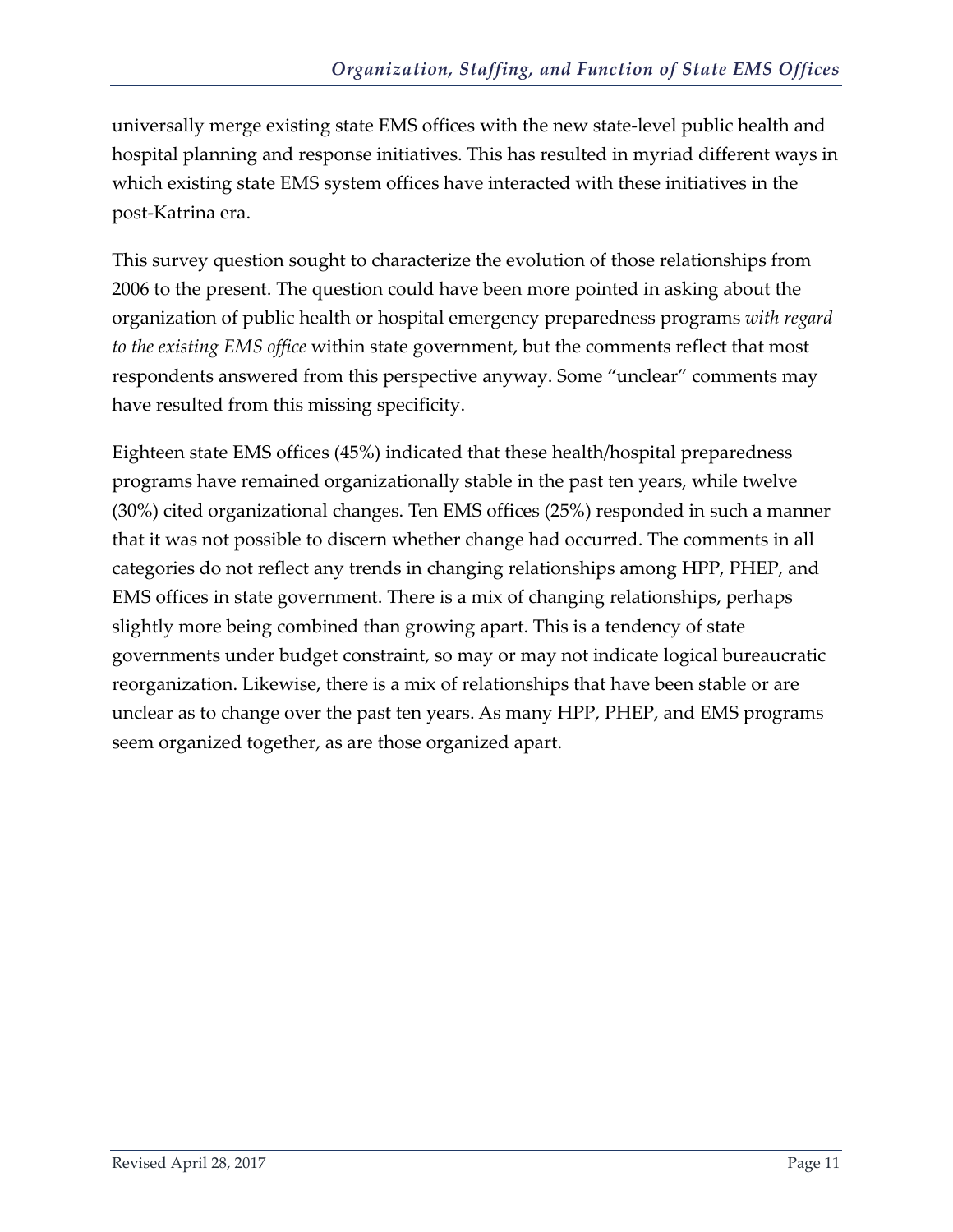universally merge existing state EMS offices with the new state-level public health and hospital planning and response initiatives. This has resulted in myriad different ways in which existing state EMS system offices have interacted with these initiatives in the post-Katrina era.

This survey question sought to characterize the evolution of those relationships from 2006 to the present. The question could have been more pointed in asking about the organization of public health or hospital emergency preparedness programs *with regard to the existing EMS office* within state government, but the comments reflect that most respondents answered from this perspective anyway. Some "unclear" comments may have resulted from this missing specificity.

Eighteen state EMS offices (45%) indicated that these health/hospital preparedness programs have remained organizationally stable in the past ten years, while twelve (30%) cited organizational changes. Ten EMS offices (25%) responded in such a manner that it was not possible to discern whether change had occurred. The comments in all categories do not reflect any trends in changing relationships among HPP, PHEP, and EMS offices in state government. There is a mix of changing relationships, perhaps slightly more being combined than growing apart. This is a tendency of state governments under budget constraint, so may or may not indicate logical bureaucratic reorganization. Likewise, there is a mix of relationships that have been stable or are unclear as to change over the past ten years. As many HPP, PHEP, and EMS programs seem organized together, as are those organized apart.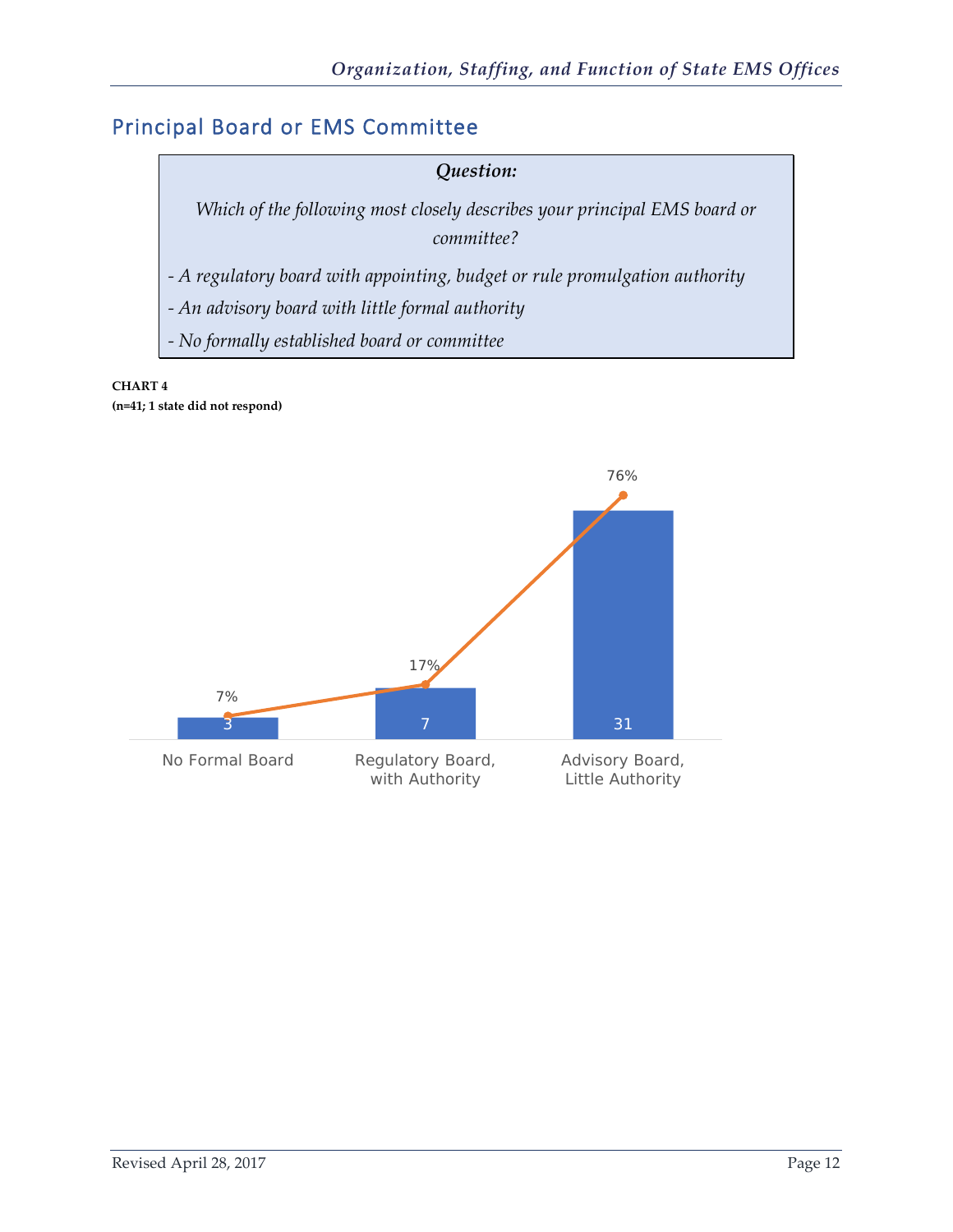## <span id="page-13-0"></span>Principal Board or EMS Committee



**CHART 4 (n=41; 1 state did not respond)**

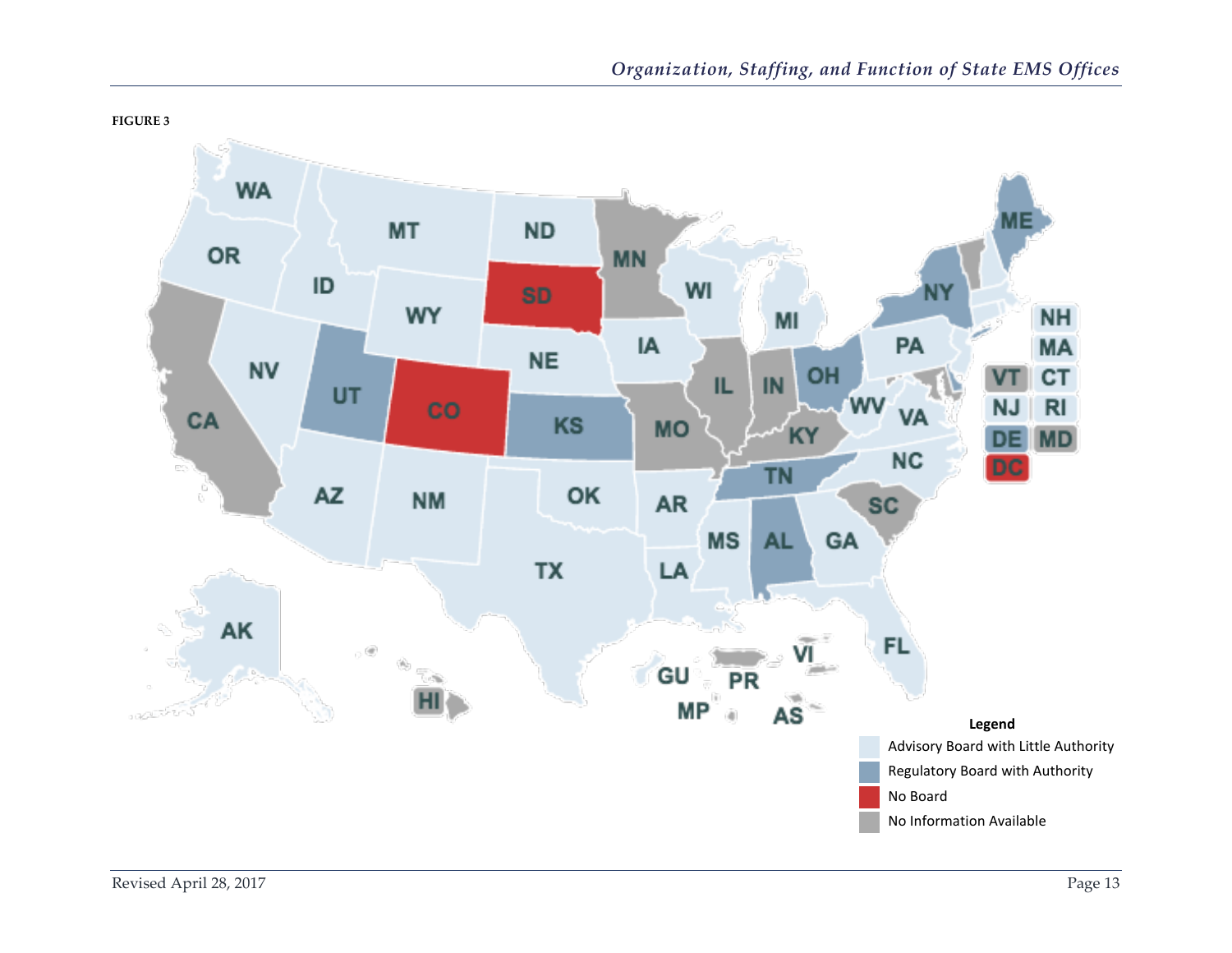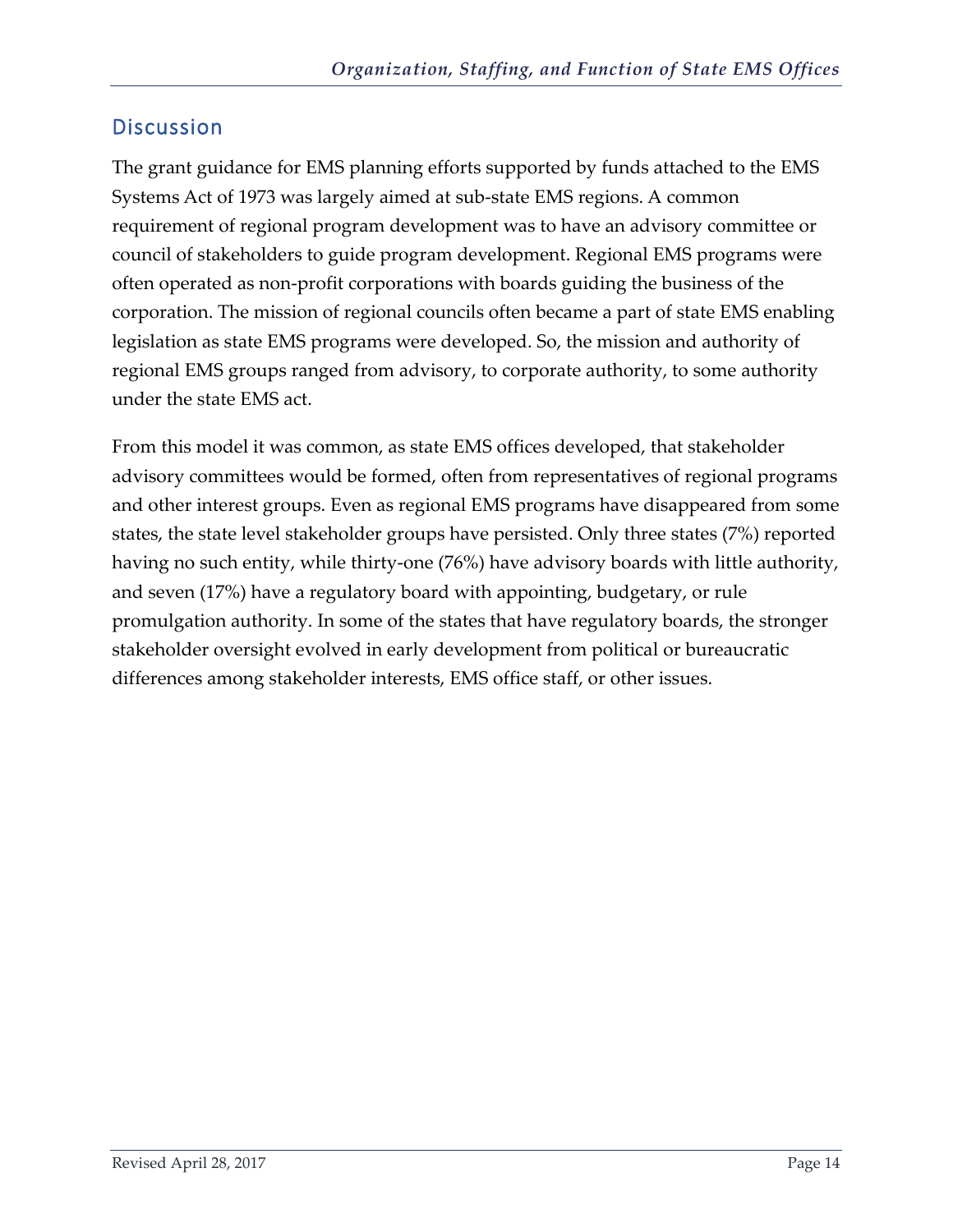<span id="page-15-0"></span>The grant guidance for EMS planning efforts supported by funds attached to the EMS Systems Act of 1973 was largely aimed at sub-state EMS regions. A common requirement of regional program development was to have an advisory committee or council of stakeholders to guide program development. Regional EMS programs were often operated as non-profit corporations with boards guiding the business of the corporation. The mission of regional councils often became a part of state EMS enabling legislation as state EMS programs were developed. So, the mission and authority of regional EMS groups ranged from advisory, to corporate authority, to some authority under the state EMS act.

From this model it was common, as state EMS offices developed, that stakeholder advisory committees would be formed, often from representatives of regional programs and other interest groups. Even as regional EMS programs have disappeared from some states, the state level stakeholder groups have persisted. Only three states (7%) reported having no such entity, while thirty-one (76%) have advisory boards with little authority, and seven (17%) have a regulatory board with appointing, budgetary, or rule promulgation authority. In some of the states that have regulatory boards, the stronger stakeholder oversight evolved in early development from political or bureaucratic differences among stakeholder interests, EMS office staff, or other issues.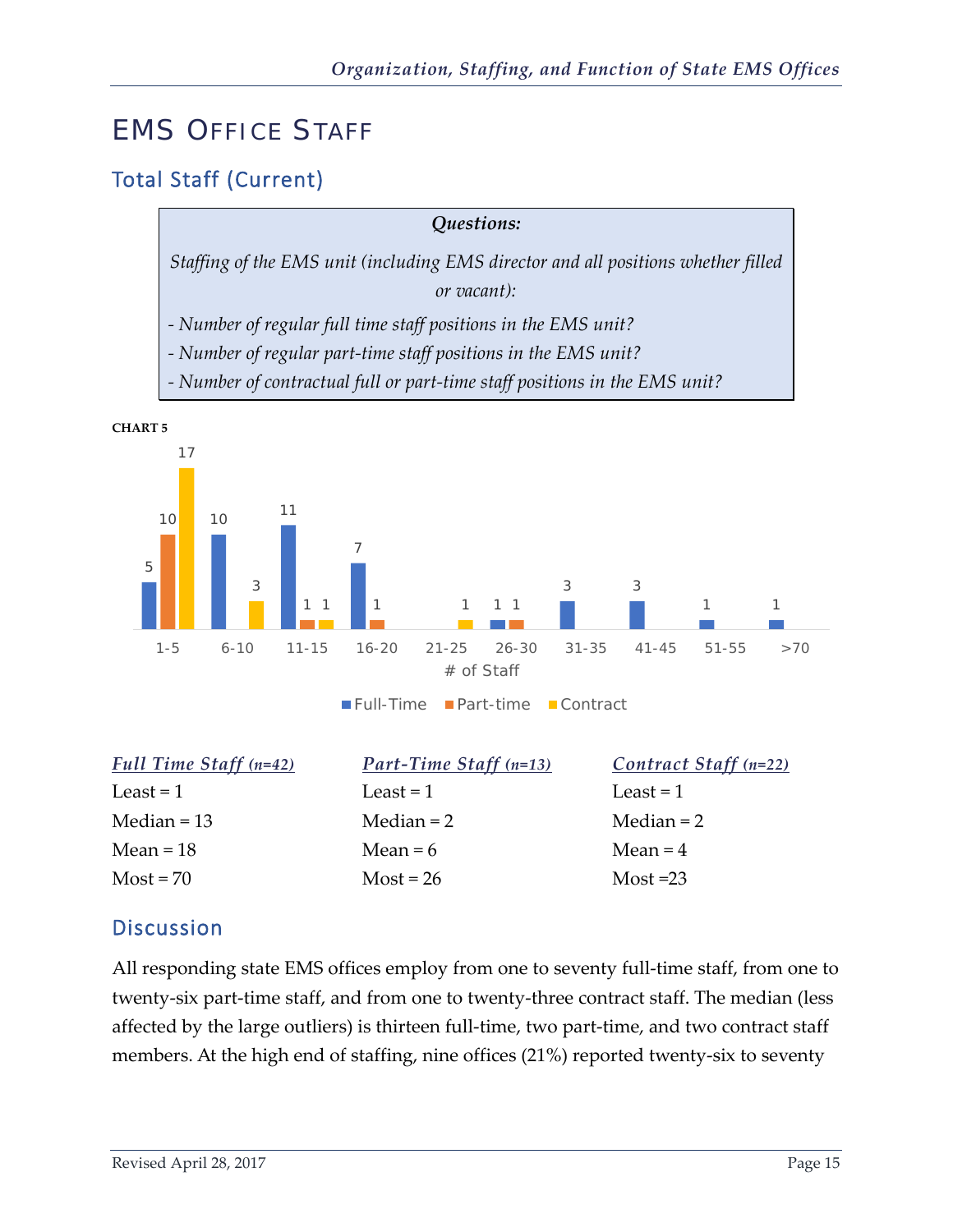# <span id="page-16-0"></span>EMS OFFICE STAFF

## <span id="page-16-1"></span>Total Staff (Current)

| Questions:                                                                        |
|-----------------------------------------------------------------------------------|
| Staffing of the EMS unit (including EMS director and all positions whether filled |
| or vacant):                                                                       |
| - Number of regular full time staff positions in the EMS unit?                    |
| - Number of regular part-time staff positions in the EMS unit?                    |
| - Number of contractual full or part-time staff positions in the EMS unit?        |



| Full Time Staff $(n=42)$ | <b>Part-Time Staff</b> (n=13) | Contract Staff $(n=22)$ |
|--------------------------|-------------------------------|-------------------------|
| Least $= 1$              | Least $= 1$                   | Least $= 1$             |
| Median $= 13$            | Median $= 2$                  | Median $= 2$            |
| Mean = $18$              | Mean $= 6$                    | Mean $=$ 4              |
| $Most = 70$              | $Most = 26$                   | $Most = 23$             |
|                          |                               |                         |

#### <span id="page-16-2"></span>**Discussion**

All responding state EMS offices employ from one to seventy full-time staff, from one to twenty-six part-time staff, and from one to twenty-three contract staff. The median (less affected by the large outliers) is thirteen full-time, two part-time, and two contract staff members. At the high end of staffing, nine offices (21%) reported twenty-six to seventy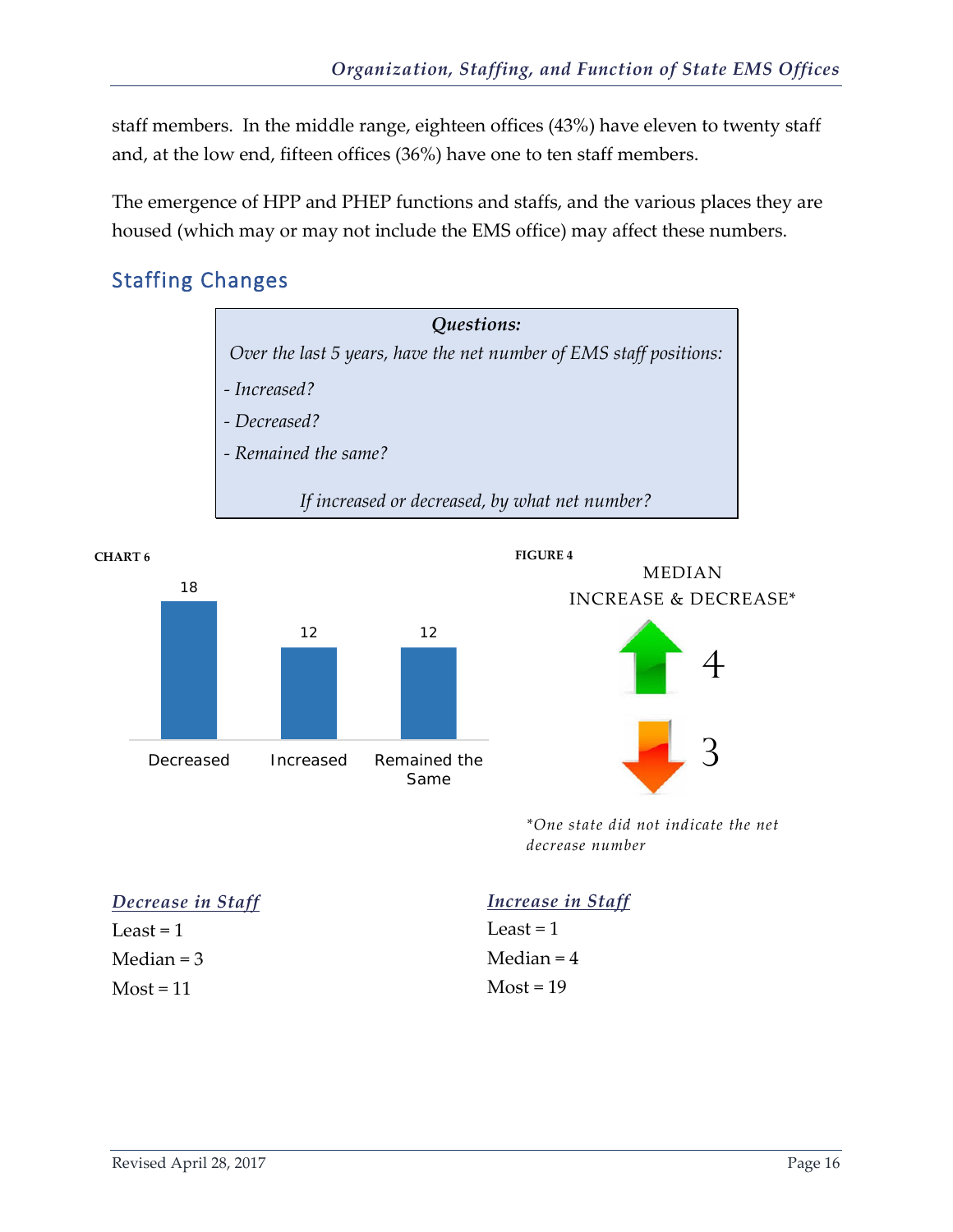staff members. In the middle range, eighteen offices (43%) have eleven to twenty staff and, at the low end, fifteen offices (36%) have one to ten staff members.

The emergence of HPP and PHEP functions and staffs, and the various places they are housed (which may or may not include the EMS office) may affect these numbers.

## <span id="page-17-0"></span>Staffing Changes









*\*One state did not indicate the net decrease number*

| Decrease in Staff | Increase in Staff |
|-------------------|-------------------|
| Least $= 1$       | Least $= 1$       |
| Median $=$ 3      | Median = $4$      |
| $Most = 11$       | $Most = 19$       |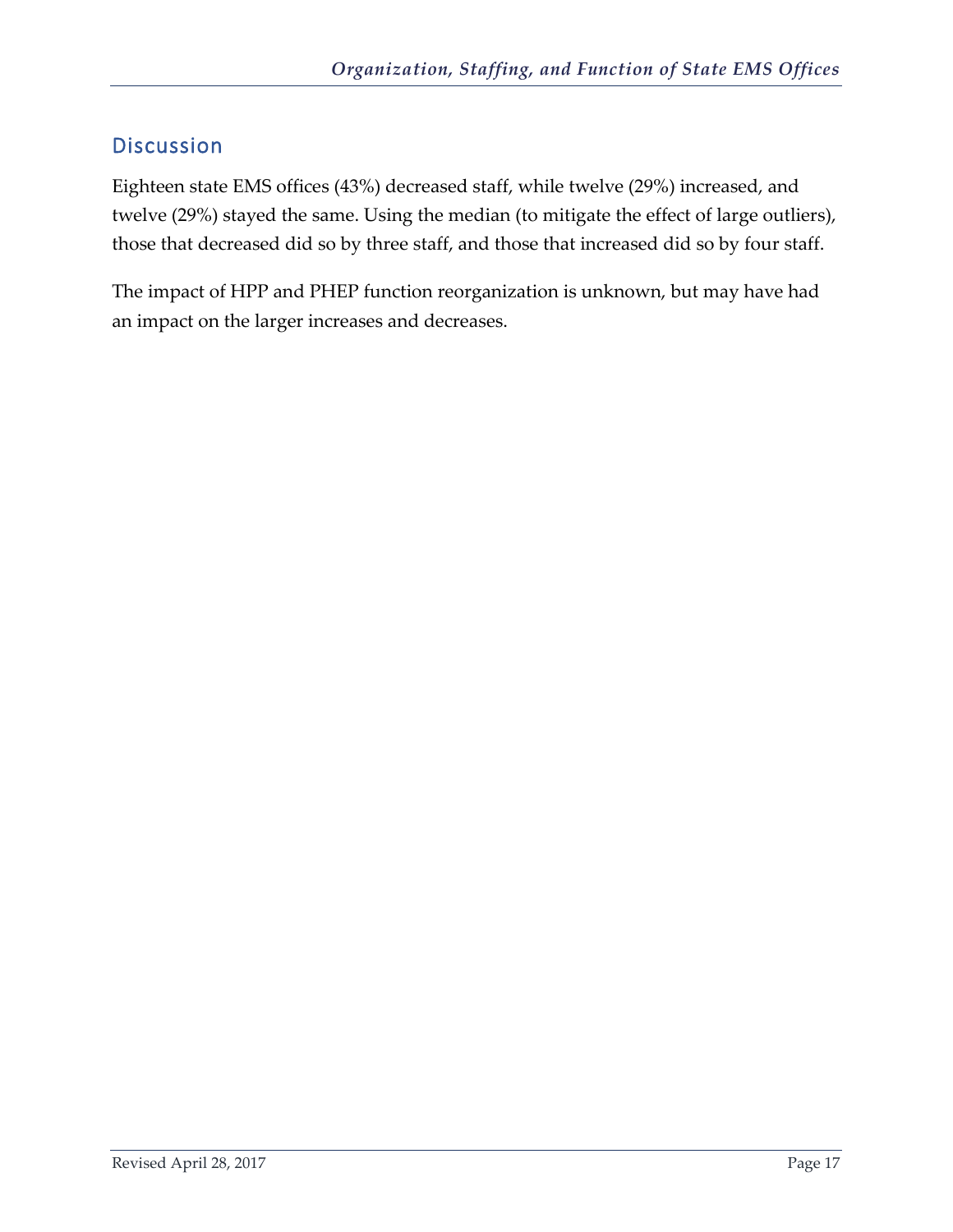<span id="page-18-0"></span>Eighteen state EMS offices (43%) decreased staff, while twelve (29%) increased, and twelve (29%) stayed the same. Using the median (to mitigate the effect of large outliers), those that decreased did so by three staff, and those that increased did so by four staff.

The impact of HPP and PHEP function reorganization is unknown, but may have had an impact on the larger increases and decreases.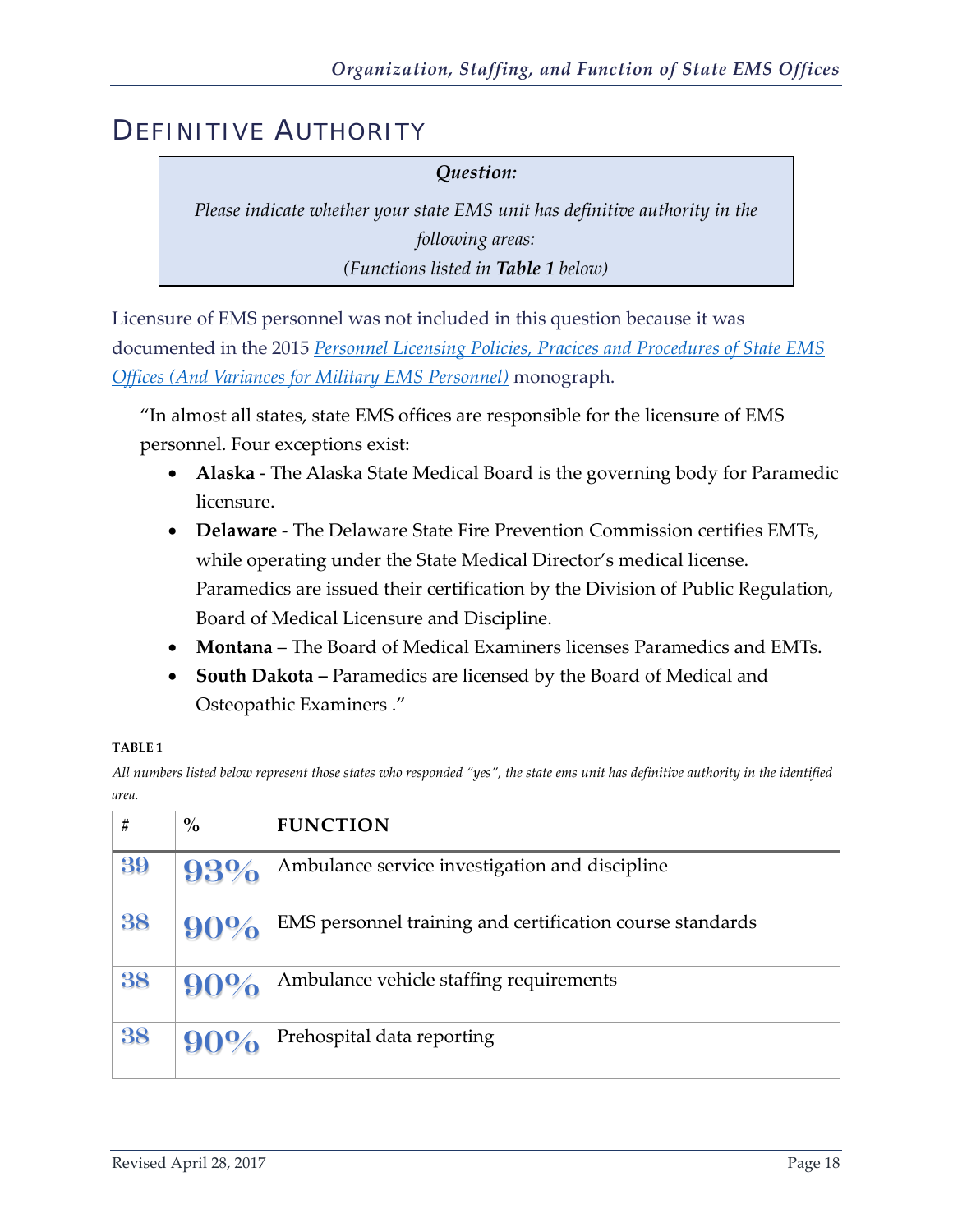## <span id="page-19-0"></span>DEFINITIVE AUTHORITY

#### *Question:*

*Please indicate whether your state EMS unit has definitive authority in the following areas: (Functions listed in Table 1 below)*

Licensure of EMS personnel was not included in this question because it was documented in the 2015 *[Personnel Licensing Policies, Pracices and Procedures of State EMS](http://nasemso.org/documents/Final_Licensing_Monograph_2015-1113.pdf)  [Offices \(And Variances for Military EMS Personnel\)](http://nasemso.org/documents/Final_Licensing_Monograph_2015-1113.pdf)* monograph.

"In almost all states, state EMS offices are responsible for the licensure of EMS personnel. Four exceptions exist:

- **Alaska**  The Alaska State Medical Board is the governing body for Paramedic licensure.
- **Delaware**  The Delaware State Fire Prevention Commission certifies EMTs, while operating under the State Medical Director's medical license. Paramedics are issued their certification by the Division of Public Regulation, Board of Medical Licensure and Discipline.
- **Montana**  The Board of Medical Examiners licenses Paramedics and EMTs.
- **South Dakota –** Paramedics are licensed by the Board of Medical and Osteopathic Examiners ."

#### **TABLE 1**

*All numbers listed below represent those states who responded "yes", the state ems unit has definitive authority in the identified area.*

| #  | $\%$   | <b>FUNCTION</b>                                           |
|----|--------|-----------------------------------------------------------|
| 39 | 93%    | Ambulance service investigation and discipline            |
| 38 | 90%    | EMS personnel training and certification course standards |
| 38 | 90%    | Ambulance vehicle staffing requirements                   |
| 38 | $90\%$ | Prehospital data reporting                                |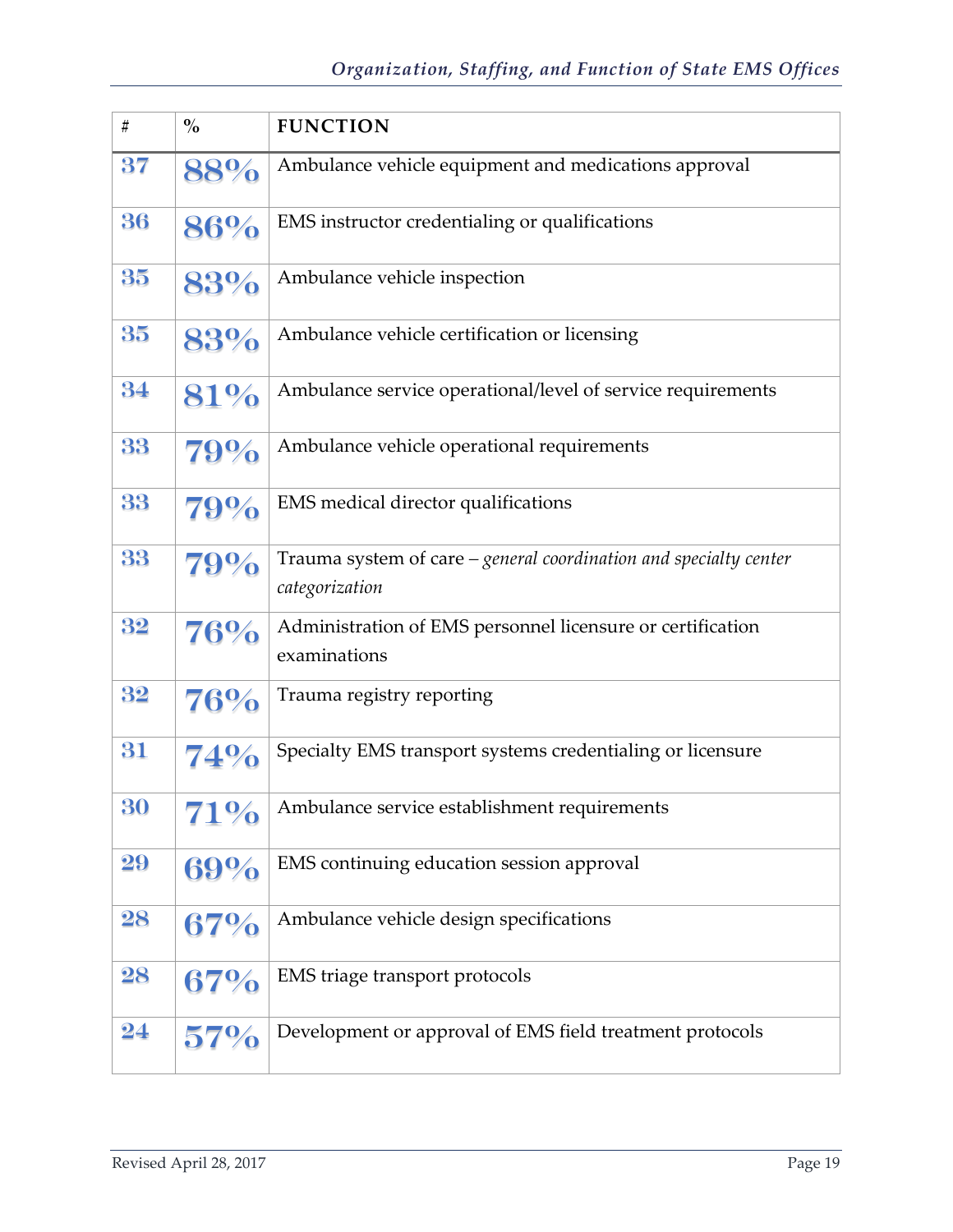| #                   | $\frac{0}{0}$ | <b>FUNCTION</b>                                                                     |
|---------------------|---------------|-------------------------------------------------------------------------------------|
| 37                  | 88%           | Ambulance vehicle equipment and medications approval                                |
| 36                  | 86%           | EMS instructor credentialing or qualifications                                      |
| 35                  | 83%           | Ambulance vehicle inspection                                                        |
| 35                  | 83%           | Ambulance vehicle certification or licensing                                        |
| 34                  | 81%           | Ambulance service operational/level of service requirements                         |
| 33                  | 79%           | Ambulance vehicle operational requirements                                          |
| 33                  | 79%           | EMS medical director qualifications                                                 |
| 33                  | 79%           | Trauma system of care - general coordination and specialty center<br>categorization |
| 32                  | 76%           | Administration of EMS personnel licensure or certification<br>examinations          |
| 32                  | 76%           | Trauma registry reporting                                                           |
| 31                  | <b>74%</b>    | Specialty EMS transport systems credentialing or licensure                          |
| 30                  | 71%           | Ambulance service establishment requirements                                        |
| 29                  | 69%           | EMS continuing education session approval                                           |
| 28                  | 67%           | Ambulance vehicle design specifications                                             |
| 28                  | 67%           | EMS triage transport protocols                                                      |
| $\overline{\bf 24}$ | $57\%$        | Development or approval of EMS field treatment protocols                            |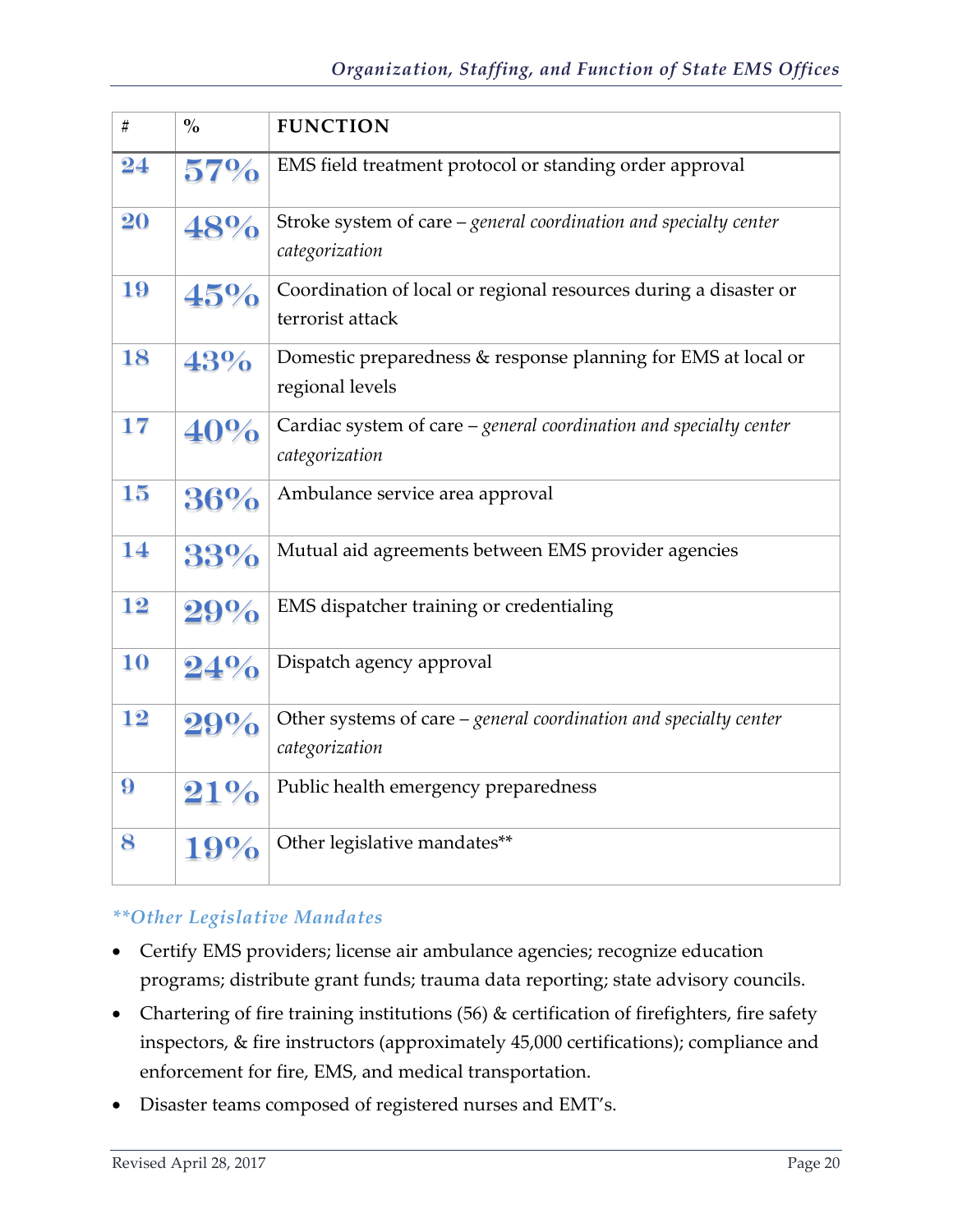| #  | $\frac{0}{0}$ | <b>FUNCTION</b>                                                                       |
|----|---------------|---------------------------------------------------------------------------------------|
| 24 | 57%           | EMS field treatment protocol or standing order approval                               |
| 20 | 48%           | Stroke system of care $-$ general coordination and specialty center<br>categorization |
| 19 | 45%           | Coordination of local or regional resources during a disaster or<br>terrorist attack  |
| 18 | 43%           | Domestic preparedness & response planning for EMS at local or<br>regional levels      |
| 17 | 40%           | Cardiac system of care - general coordination and specialty center<br>categorization  |
| 15 | 36%           | Ambulance service area approval                                                       |
| 14 | 33%           | Mutual aid agreements between EMS provider agencies                                   |
| 12 | 29%           | EMS dispatcher training or credentialing                                              |
| 10 | 24%           | Dispatch agency approval                                                              |
| 12 | 29%           | Other systems of care – general coordination and specialty center<br>categorization   |
| 9  | $21\%$        | Public health emergency preparedness                                                  |
| 8  | 19%           | Other legislative mandates**                                                          |

#### *\*\*Other Legislative Mandates*

- Certify EMS providers; license air ambulance agencies; recognize education programs; distribute grant funds; trauma data reporting; state advisory councils.
- Chartering of fire training institutions (56) & certification of firefighters, fire safety inspectors, & fire instructors (approximately 45,000 certifications); compliance and enforcement for fire, EMS, and medical transportation.
- Disaster teams composed of registered nurses and EMT's.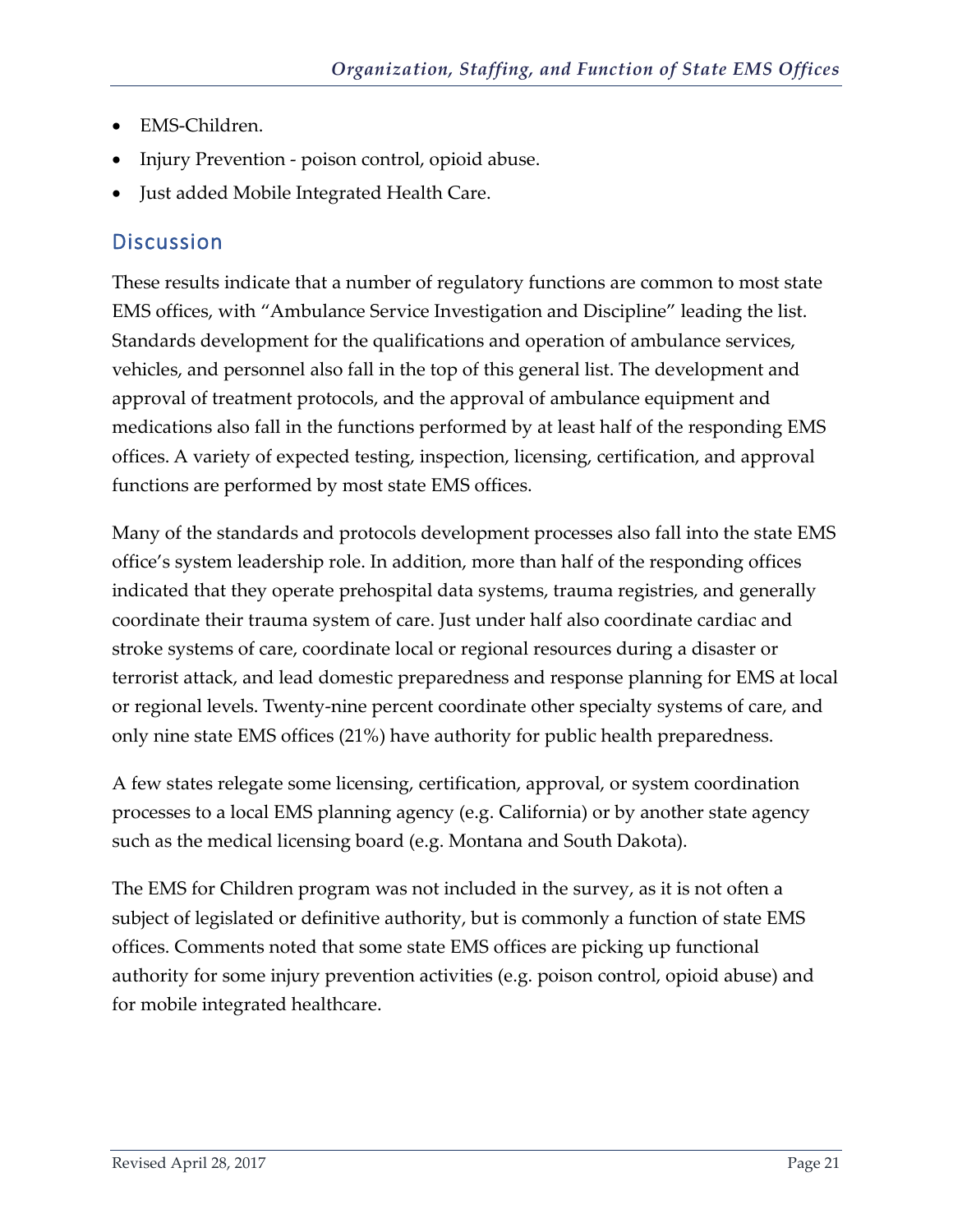- EMS-Children.
- Injury Prevention poison control, opioid abuse.
- <span id="page-22-0"></span>• Just added Mobile Integrated Health Care.

These results indicate that a number of regulatory functions are common to most state EMS offices, with "Ambulance Service Investigation and Discipline" leading the list. Standards development for the qualifications and operation of ambulance services, vehicles, and personnel also fall in the top of this general list. The development and approval of treatment protocols, and the approval of ambulance equipment and medications also fall in the functions performed by at least half of the responding EMS offices. A variety of expected testing, inspection, licensing, certification, and approval functions are performed by most state EMS offices.

Many of the standards and protocols development processes also fall into the state EMS office's system leadership role. In addition, more than half of the responding offices indicated that they operate prehospital data systems, trauma registries, and generally coordinate their trauma system of care. Just under half also coordinate cardiac and stroke systems of care, coordinate local or regional resources during a disaster or terrorist attack, and lead domestic preparedness and response planning for EMS at local or regional levels. Twenty-nine percent coordinate other specialty systems of care, and only nine state EMS offices (21%) have authority for public health preparedness.

A few states relegate some licensing, certification, approval, or system coordination processes to a local EMS planning agency (e.g. California) or by another state agency such as the medical licensing board (e.g. Montana and South Dakota).

The EMS for Children program was not included in the survey, as it is not often a subject of legislated or definitive authority, but is commonly a function of state EMS offices. Comments noted that some state EMS offices are picking up functional authority for some injury prevention activities (e.g. poison control, opioid abuse) and for mobile integrated healthcare.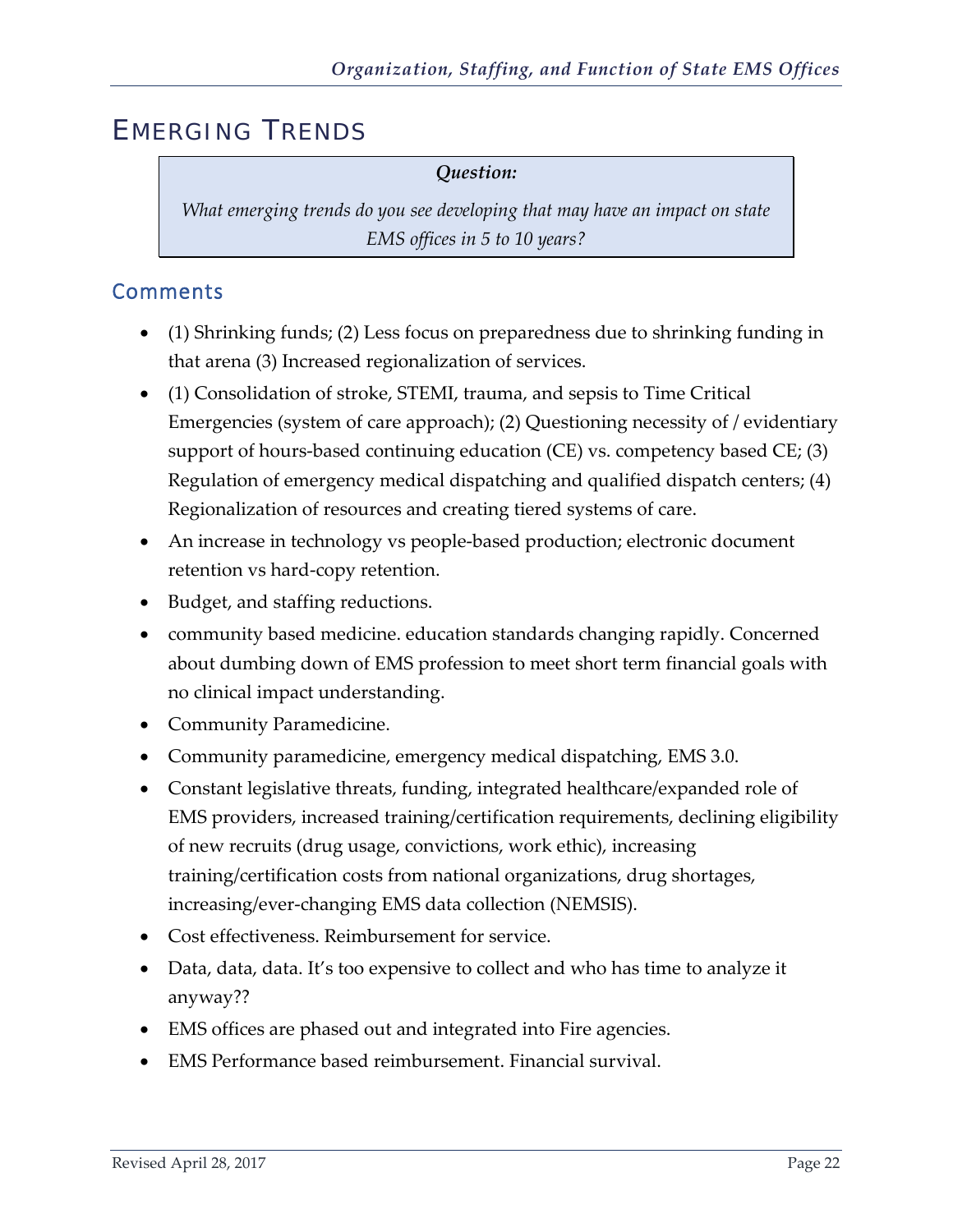## <span id="page-23-0"></span>EMERGING TRENDS

#### *Question:*

*What emerging trends do you see developing that may have an impact on state EMS offices in 5 to 10 years?*

#### <span id="page-23-1"></span>Comments

- (1) Shrinking funds; (2) Less focus on preparedness due to shrinking funding in that arena (3) Increased regionalization of services.
- (1) Consolidation of stroke, STEMI, trauma, and sepsis to Time Critical Emergencies (system of care approach); (2) Questioning necessity of / evidentiary support of hours-based continuing education (CE) vs. competency based CE; (3) Regulation of emergency medical dispatching and qualified dispatch centers; (4) Regionalization of resources and creating tiered systems of care.
- An increase in technology vs people-based production; electronic document retention vs hard-copy retention.
- Budget, and staffing reductions.
- community based medicine. education standards changing rapidly. Concerned about dumbing down of EMS profession to meet short term financial goals with no clinical impact understanding.
- Community Paramedicine.
- Community paramedicine, emergency medical dispatching, EMS 3.0.
- Constant legislative threats, funding, integrated healthcare/expanded role of EMS providers, increased training/certification requirements, declining eligibility of new recruits (drug usage, convictions, work ethic), increasing training/certification costs from national organizations, drug shortages, increasing/ever-changing EMS data collection (NEMSIS).
- Cost effectiveness. Reimbursement for service.
- Data, data, data. It's too expensive to collect and who has time to analyze it anyway??
- EMS offices are phased out and integrated into Fire agencies.
- EMS Performance based reimbursement. Financial survival.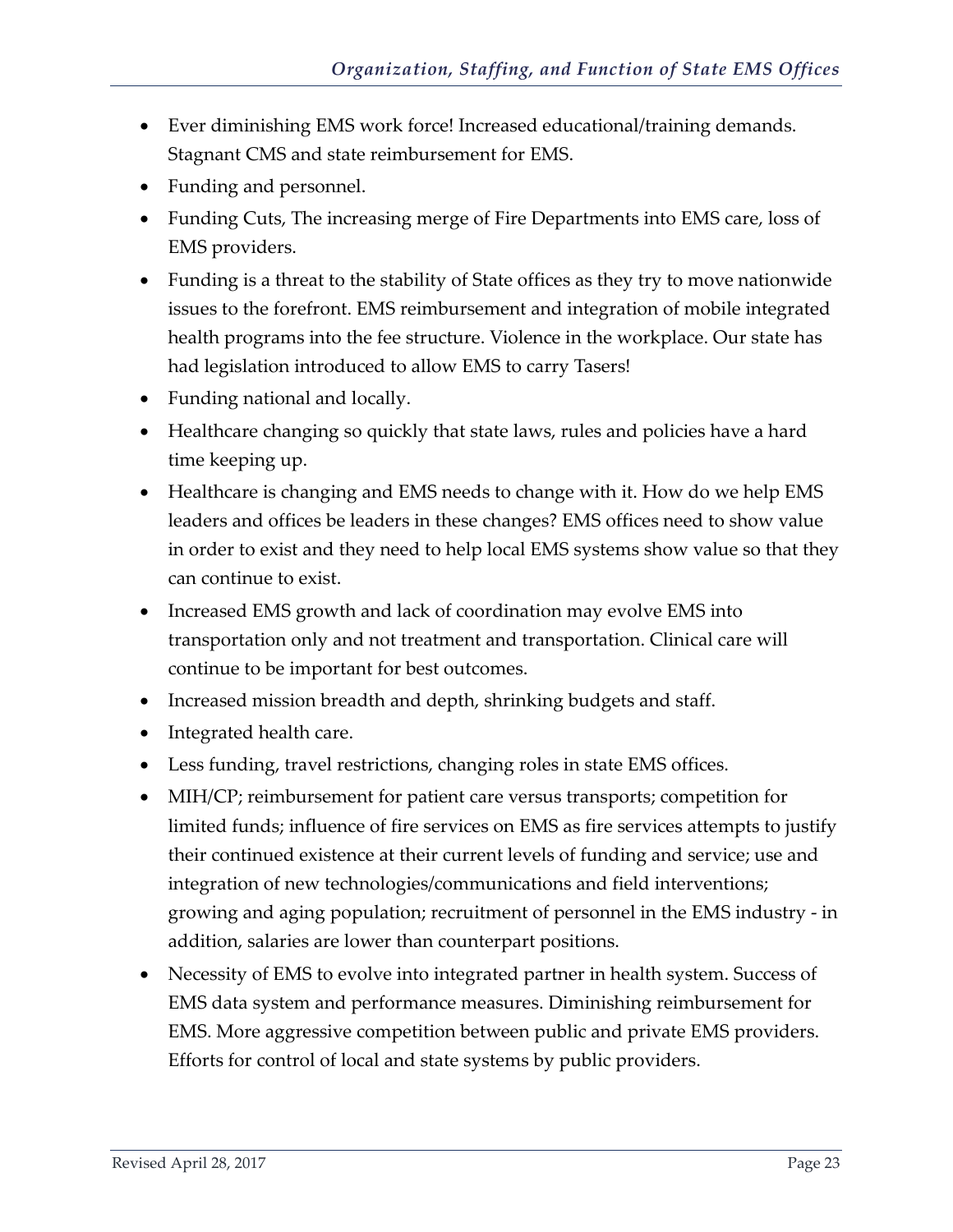- Ever diminishing EMS work force! Increased educational/training demands. Stagnant CMS and state reimbursement for EMS.
- Funding and personnel.
- Funding Cuts, The increasing merge of Fire Departments into EMS care, loss of EMS providers.
- Funding is a threat to the stability of State offices as they try to move nationwide issues to the forefront. EMS reimbursement and integration of mobile integrated health programs into the fee structure. Violence in the workplace. Our state has had legislation introduced to allow EMS to carry Tasers!
- Funding national and locally.
- Healthcare changing so quickly that state laws, rules and policies have a hard time keeping up.
- Healthcare is changing and EMS needs to change with it. How do we help EMS leaders and offices be leaders in these changes? EMS offices need to show value in order to exist and they need to help local EMS systems show value so that they can continue to exist.
- Increased EMS growth and lack of coordination may evolve EMS into transportation only and not treatment and transportation. Clinical care will continue to be important for best outcomes.
- Increased mission breadth and depth, shrinking budgets and staff.
- Integrated health care.
- Less funding, travel restrictions, changing roles in state EMS offices.
- MIH/CP; reimbursement for patient care versus transports; competition for limited funds; influence of fire services on EMS as fire services attempts to justify their continued existence at their current levels of funding and service; use and integration of new technologies/communications and field interventions; growing and aging population; recruitment of personnel in the EMS industry - in addition, salaries are lower than counterpart positions.
- Necessity of EMS to evolve into integrated partner in health system. Success of EMS data system and performance measures. Diminishing reimbursement for EMS. More aggressive competition between public and private EMS providers. Efforts for control of local and state systems by public providers.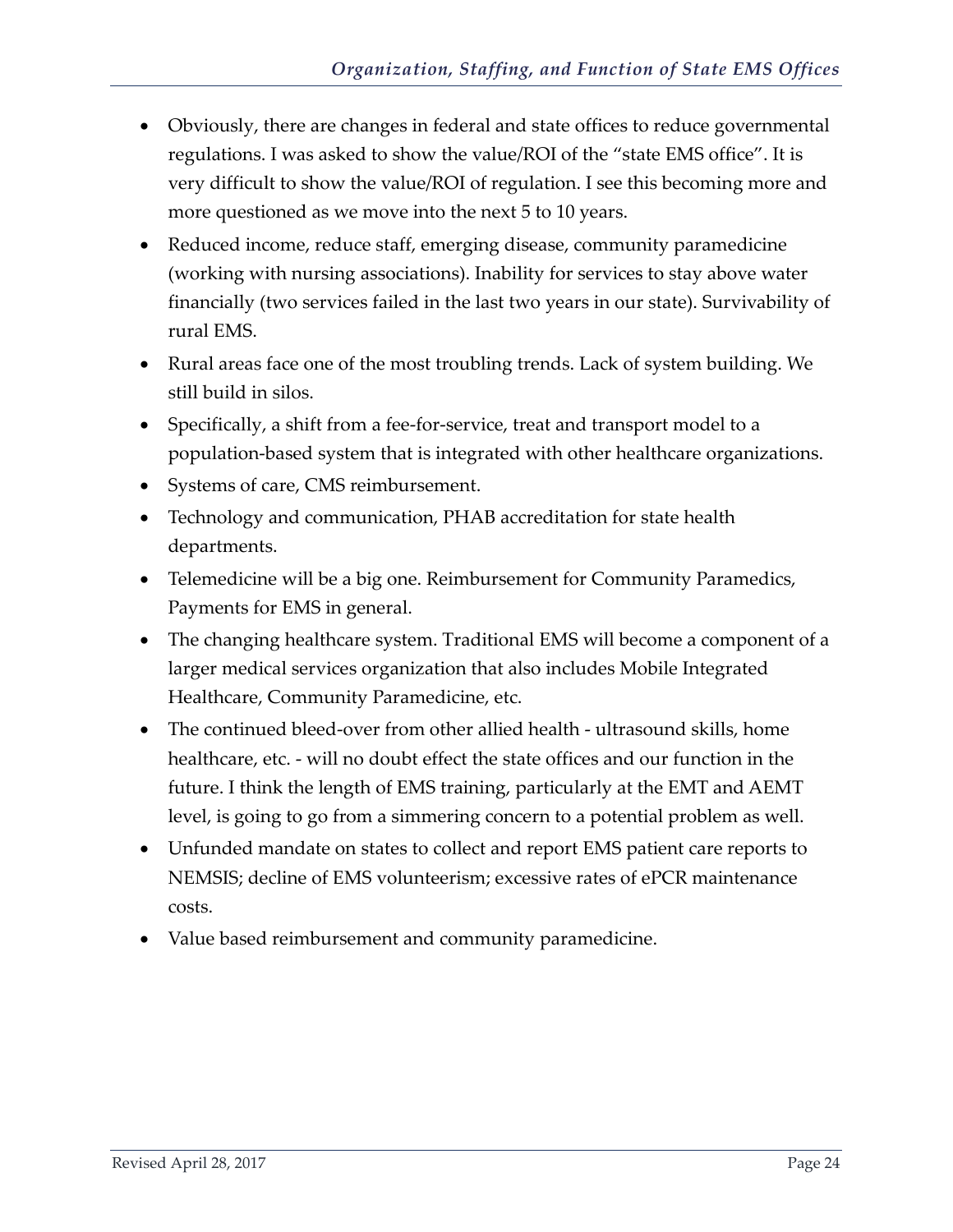- Obviously, there are changes in federal and state offices to reduce governmental regulations. I was asked to show the value/ROI of the "state EMS office". It is very difficult to show the value/ROI of regulation. I see this becoming more and more questioned as we move into the next 5 to 10 years.
- Reduced income, reduce staff, emerging disease, community paramedicine (working with nursing associations). Inability for services to stay above water financially (two services failed in the last two years in our state). Survivability of rural EMS.
- Rural areas face one of the most troubling trends. Lack of system building. We still build in silos.
- Specifically, a shift from a fee-for-service, treat and transport model to a population-based system that is integrated with other healthcare organizations.
- Systems of care, CMS reimbursement.
- Technology and communication, PHAB accreditation for state health departments.
- Telemedicine will be a big one. Reimbursement for Community Paramedics, Payments for EMS in general.
- The changing healthcare system. Traditional EMS will become a component of a larger medical services organization that also includes Mobile Integrated Healthcare, Community Paramedicine, etc.
- The continued bleed-over from other allied health ultrasound skills, home healthcare, etc. - will no doubt effect the state offices and our function in the future. I think the length of EMS training, particularly at the EMT and AEMT level, is going to go from a simmering concern to a potential problem as well.
- Unfunded mandate on states to collect and report EMS patient care reports to NEMSIS; decline of EMS volunteerism; excessive rates of ePCR maintenance costs.
- Value based reimbursement and community paramedicine.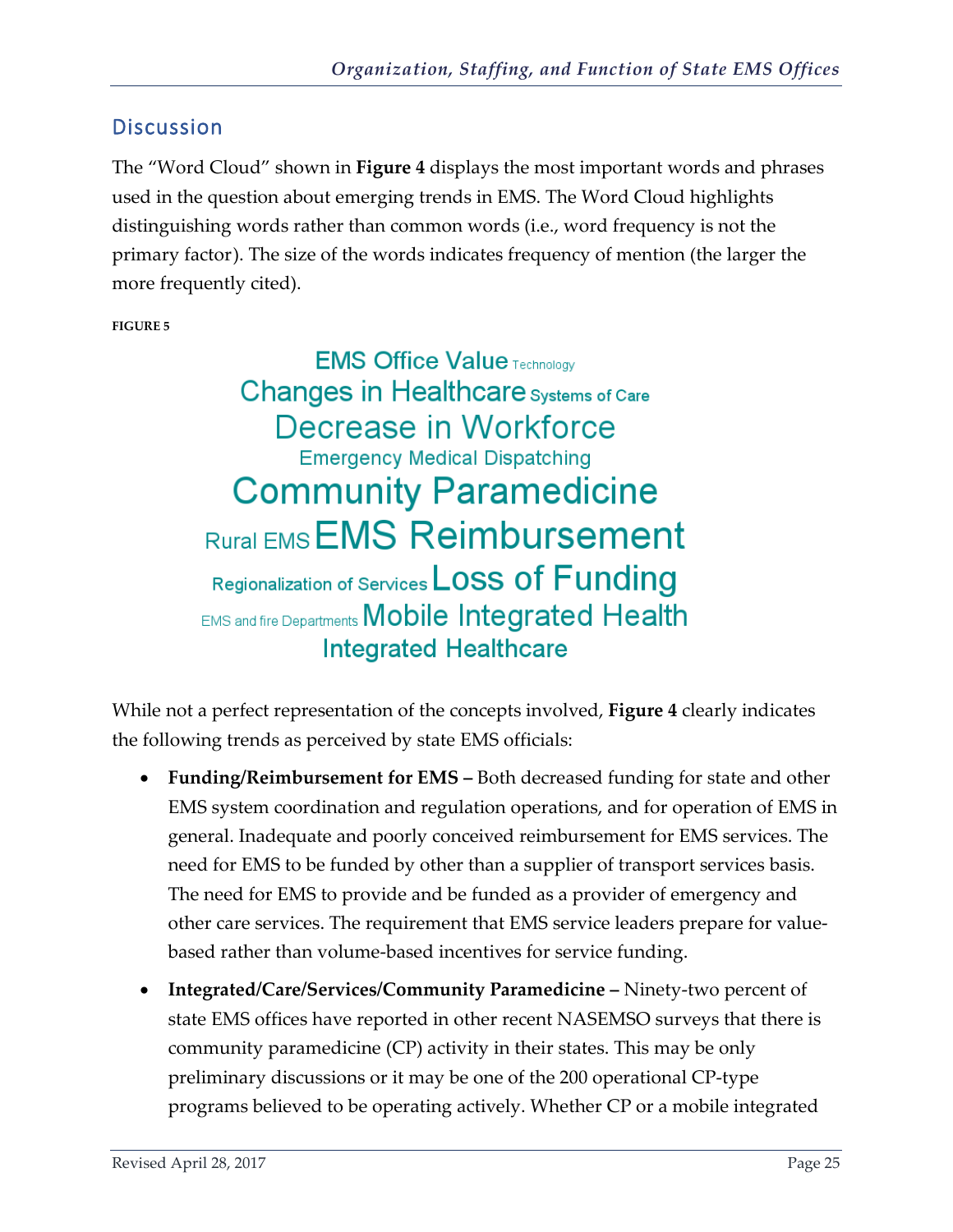<span id="page-26-0"></span>The "Word Cloud" shown in **Figure 4** displays the most important words and phrases used in the question about emerging trends in EMS. The Word Cloud highlights distinguishing words rather than common words (i.e., word frequency is not the primary factor). The size of the words indicates frequency of mention (the larger the more frequently cited).

**FIGURE 5** 

**EMS Office Value Technology** Changes in Healthcare Systems of Care Decrease in Workforce **Emergency Medical Dispatching Community Paramedicine Rural EMS Reimbursement** Regionalization of Services LOSS Of Funding **EMS and fire Departments Mobile Integrated Health Integrated Healthcare** 

While not a perfect representation of the concepts involved, **Figure 4** clearly indicates the following trends as perceived by state EMS officials:

- **Funding/Reimbursement for EMS** Both decreased funding for state and other EMS system coordination and regulation operations, and for operation of EMS in general. Inadequate and poorly conceived reimbursement for EMS services. The need for EMS to be funded by other than a supplier of transport services basis. The need for EMS to provide and be funded as a provider of emergency and other care services. The requirement that EMS service leaders prepare for valuebased rather than volume-based incentives for service funding.
- **Integrated/Care/Services/Community Paramedicine** Ninety-two percent of state EMS offices have reported in other recent NASEMSO surveys that there is community paramedicine (CP) activity in their states. This may be only preliminary discussions or it may be one of the 200 operational CP-type programs believed to be operating actively. Whether CP or a mobile integrated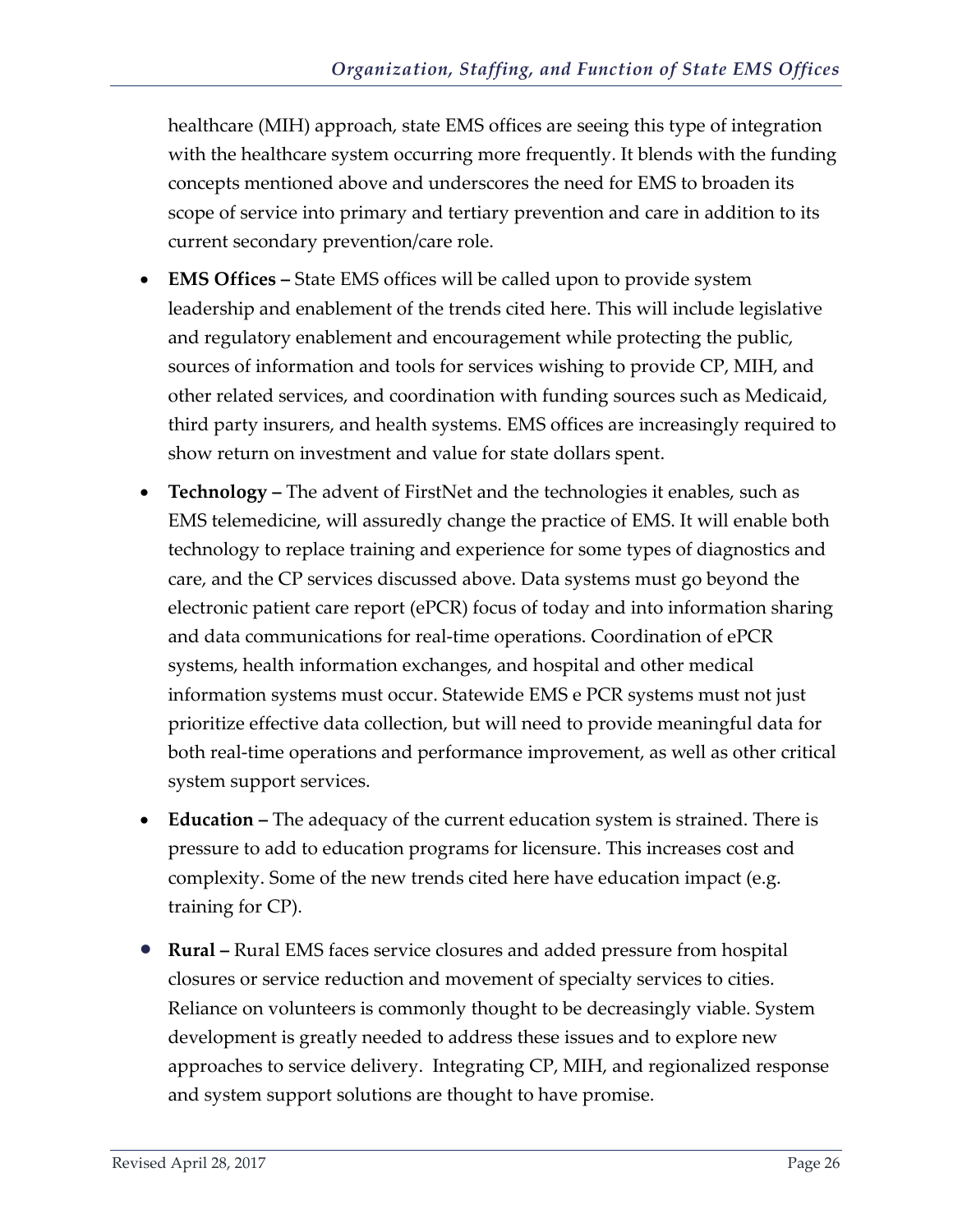healthcare (MIH) approach, state EMS offices are seeing this type of integration with the healthcare system occurring more frequently. It blends with the funding concepts mentioned above and underscores the need for EMS to broaden its scope of service into primary and tertiary prevention and care in addition to its current secondary prevention/care role.

- **EMS Offices –** State EMS offices will be called upon to provide system leadership and enablement of the trends cited here. This will include legislative and regulatory enablement and encouragement while protecting the public, sources of information and tools for services wishing to provide CP, MIH, and other related services, and coordination with funding sources such as Medicaid, third party insurers, and health systems. EMS offices are increasingly required to show return on investment and value for state dollars spent.
- **Technology –** The advent of FirstNet and the technologies it enables, such as EMS telemedicine, will assuredly change the practice of EMS. It will enable both technology to replace training and experience for some types of diagnostics and care, and the CP services discussed above. Data systems must go beyond the electronic patient care report (ePCR) focus of today and into information sharing and data communications for real-time operations. Coordination of ePCR systems, health information exchanges, and hospital and other medical information systems must occur. Statewide EMS e PCR systems must not just prioritize effective data collection, but will need to provide meaningful data for both real-time operations and performance improvement, as well as other critical system support services.
- **Education –** The adequacy of the current education system is strained. There is pressure to add to education programs for licensure. This increases cost and complexity. Some of the new trends cited here have education impact (e.g. training for CP).
- **Rural –** Rural EMS faces service closures and added pressure from hospital closures or service reduction and movement of specialty services to cities. Reliance on volunteers is commonly thought to be decreasingly viable. System development is greatly needed to address these issues and to explore new approaches to service delivery. Integrating CP, MIH, and regionalized response and system support solutions are thought to have promise.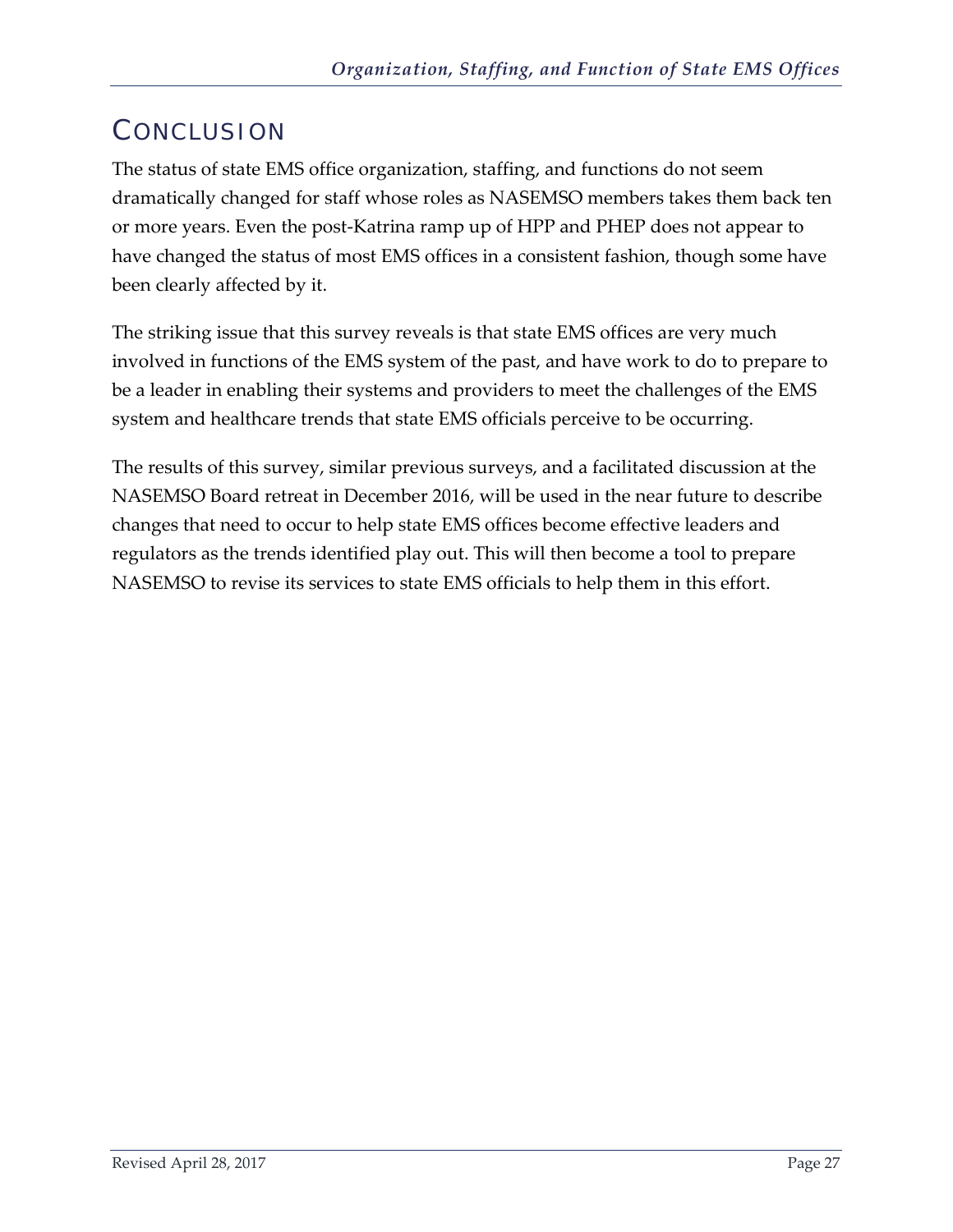# <span id="page-28-0"></span>**CONCLUSION**

The status of state EMS office organization, staffing, and functions do not seem dramatically changed for staff whose roles as NASEMSO members takes them back ten or more years. Even the post-Katrina ramp up of HPP and PHEP does not appear to have changed the status of most EMS offices in a consistent fashion, though some have been clearly affected by it.

The striking issue that this survey reveals is that state EMS offices are very much involved in functions of the EMS system of the past, and have work to do to prepare to be a leader in enabling their systems and providers to meet the challenges of the EMS system and healthcare trends that state EMS officials perceive to be occurring.

The results of this survey, similar previous surveys, and a facilitated discussion at the NASEMSO Board retreat in December 2016, will be used in the near future to describe changes that need to occur to help state EMS offices become effective leaders and regulators as the trends identified play out. This will then become a tool to prepare NASEMSO to revise its services to state EMS officials to help them in this effort.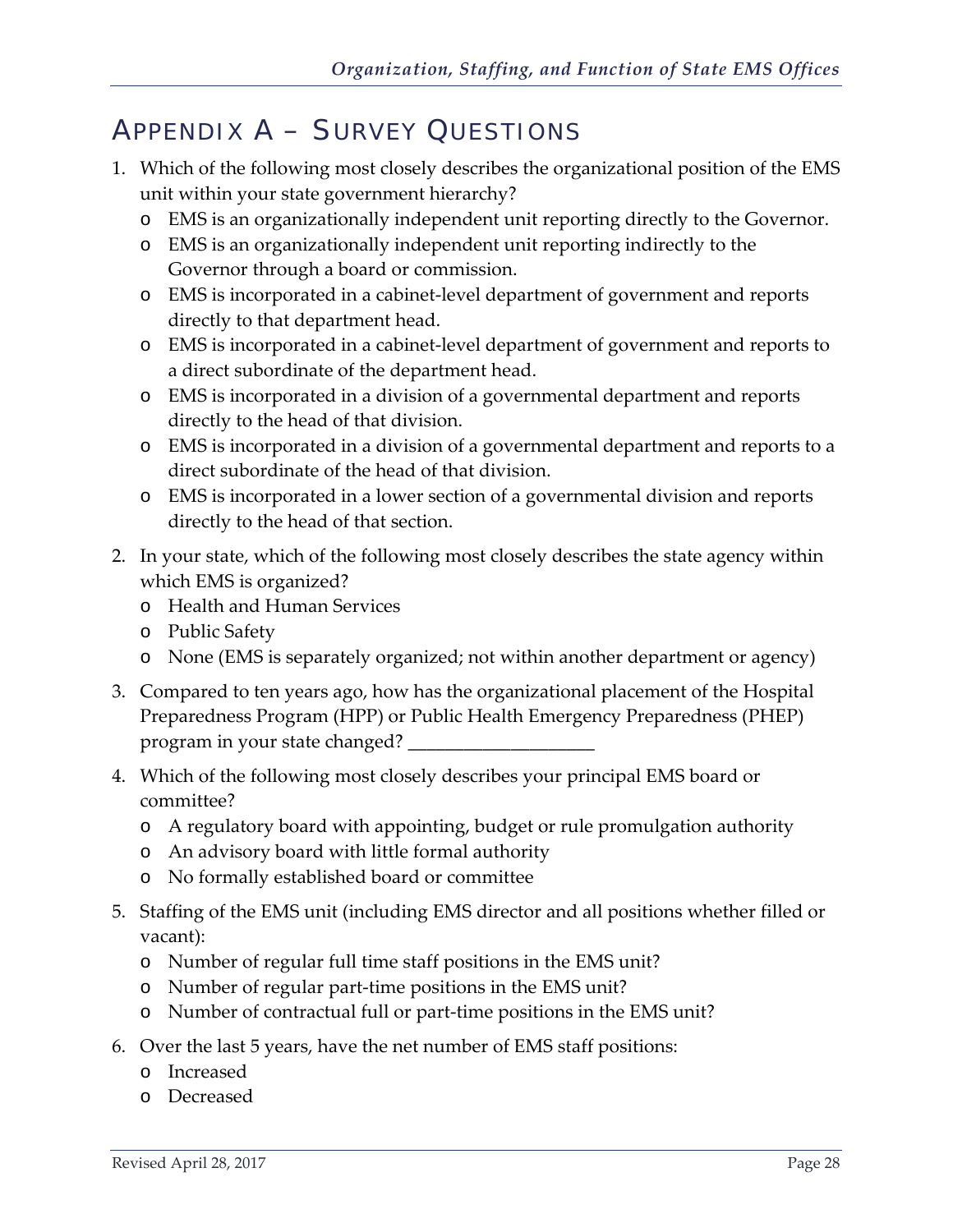# <span id="page-29-0"></span>APPENDIX A – SURVEY QUESTIONS

- 1. Which of the following most closely describes the organizational position of the EMS unit within your state government hierarchy?
	- o EMS is an organizationally independent unit reporting directly to the Governor.
	- o EMS is an organizationally independent unit reporting indirectly to the Governor through a board or commission.
	- o EMS is incorporated in a cabinet-level department of government and reports directly to that department head.
	- o EMS is incorporated in a cabinet-level department of government and reports to a direct subordinate of the department head.
	- o EMS is incorporated in a division of a governmental department and reports directly to the head of that division.
	- o EMS is incorporated in a division of a governmental department and reports to a direct subordinate of the head of that division.
	- o EMS is incorporated in a lower section of a governmental division and reports directly to the head of that section.
- 2. In your state, which of the following most closely describes the state agency within which EMS is organized?
	- o Health and Human Services
	- o Public Safety
	- o None (EMS is separately organized; not within another department or agency)
- 3. Compared to ten years ago, how has the organizational placement of the Hospital Preparedness Program (HPP) or Public Health Emergency Preparedness (PHEP) program in your state changed?
- 4. Which of the following most closely describes your principal EMS board or committee?
	- o A regulatory board with appointing, budget or rule promulgation authority
	- o An advisory board with little formal authority
	- o No formally established board or committee
- 5. Staffing of the EMS unit (including EMS director and all positions whether filled or vacant):
	- o Number of regular full time staff positions in the EMS unit?
	- o Number of regular part-time positions in the EMS unit?
	- o Number of contractual full or part-time positions in the EMS unit?
- 6. Over the last 5 years, have the net number of EMS staff positions:
	- o Increased
	- o Decreased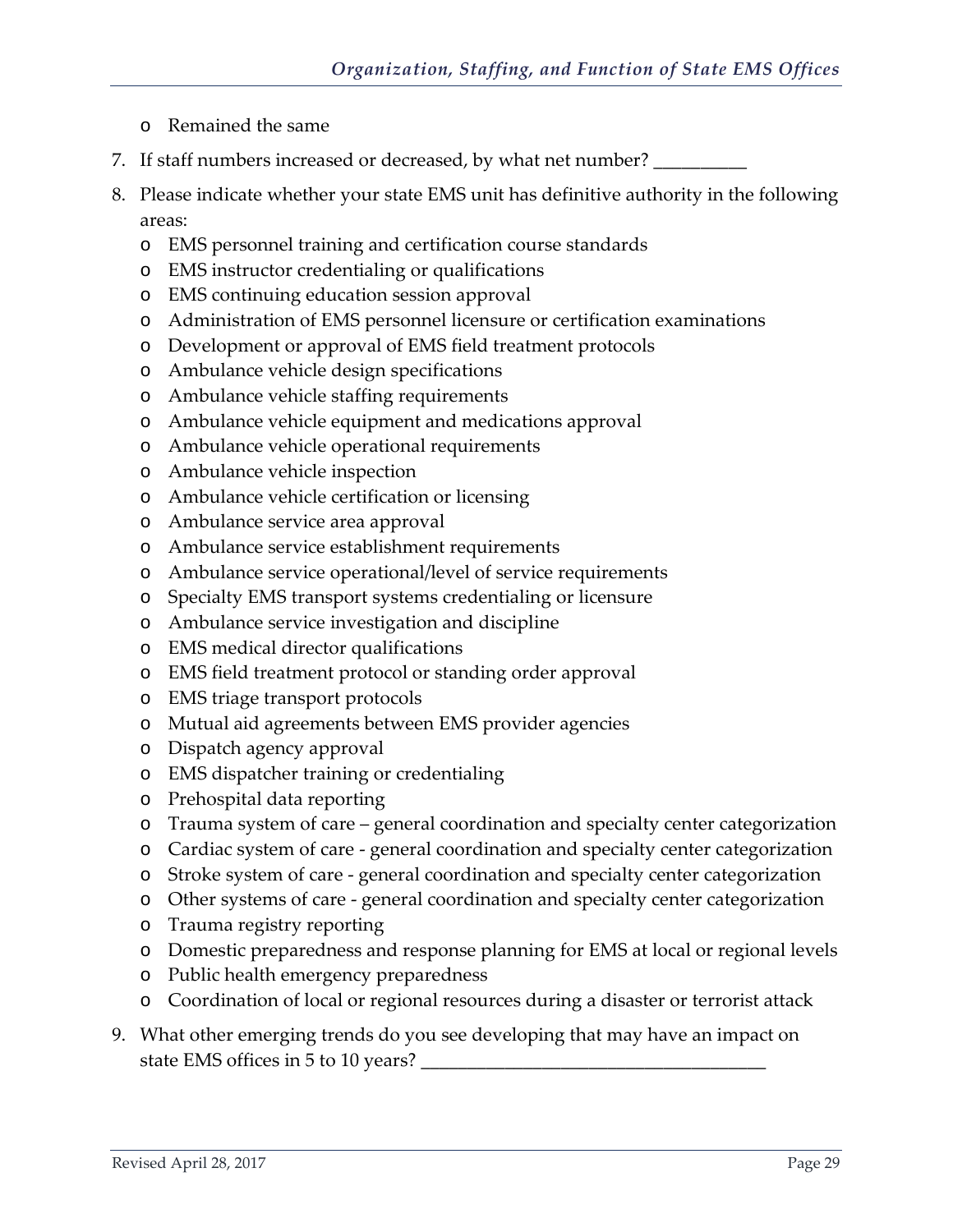- o Remained the same
- 7. If staff numbers increased or decreased, by what net number? \_\_\_\_\_\_\_\_\_\_\_\_\_\_\_\_
- 8. Please indicate whether your state EMS unit has definitive authority in the following areas:
	- o EMS personnel training and certification course standards
	- o EMS instructor credentialing or qualifications
	- o EMS continuing education session approval
	- o Administration of EMS personnel licensure or certification examinations
	- o Development or approval of EMS field treatment protocols
	- o Ambulance vehicle design specifications
	- o Ambulance vehicle staffing requirements
	- o Ambulance vehicle equipment and medications approval
	- o Ambulance vehicle operational requirements
	- o Ambulance vehicle inspection
	- o Ambulance vehicle certification or licensing
	- o Ambulance service area approval
	- o Ambulance service establishment requirements
	- o Ambulance service operational/level of service requirements
	- o Specialty EMS transport systems credentialing or licensure
	- o Ambulance service investigation and discipline
	- o EMS medical director qualifications
	- o EMS field treatment protocol or standing order approval
	- o EMS triage transport protocols
	- o Mutual aid agreements between EMS provider agencies
	- o Dispatch agency approval
	- o EMS dispatcher training or credentialing
	- o Prehospital data reporting
	- o Trauma system of care general coordination and specialty center categorization
	- o Cardiac system of care general coordination and specialty center categorization
	- o Stroke system of care general coordination and specialty center categorization
	- o Other systems of care general coordination and specialty center categorization
	- o Trauma registry reporting
	- o Domestic preparedness and response planning for EMS at local or regional levels
	- o Public health emergency preparedness
	- o Coordination of local or regional resources during a disaster or terrorist attack
- 9. What other emerging trends do you see developing that may have an impact on state EMS offices in 5 to 10 years?